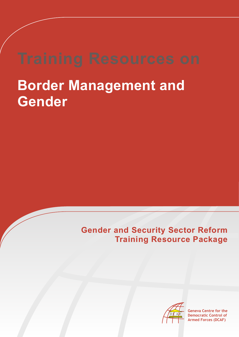# **Border Management and Gender**

#### **Gender and Security Sector Reform Training Resource Package**



**Geneva Centre for the Democratic Control of Armed Forces (DCAF)**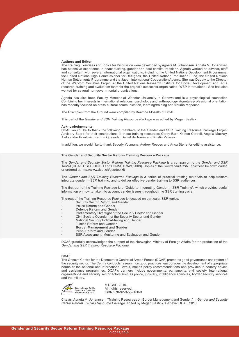#### **Authors and Editor**

The Training Exercises and Topics for Discussion were developed by Agneta M. Johannsen. Agneta M. Johannsen has extensive experience in peacebuilding, gender and post-conflict transition. Agneta worked as advisor, staff and consultant with several international organisations, including the United Nations Development Programme, the United Nations High Commissioner for Refugees, the United Nations Population Fund, the United Nations Human Settlements Programme and the Japan International Cooperation Agency. She was Deputy to the Director of the War-torn Societies Project at the United Nations Research Institute for Social Development and led a research, training and evaluation team for the project's successor organisation, WSP International. She has also worked for several non-governmental organisations.

Agneta has also been Faculty Member at Webster University in Geneva and is a psychological counsellor. Combining her interests in international relations, psychology and anthropology, Agneta's professional orientation has recently focused on cross-cultural communication, learning/training and trauma response.

The Examples from the Ground were compiled by Beatrice Mosello of DCAF.

This part of the *Gender and SSR Training Resource Package* was edited by Megan Bastick.

#### **Acknowledgements**

DCAF would like to thank the following members of the Gender and SSR Training Resource Package Project Advisory Board for their contributions to these training resources: Corey Barr, Kristen Cordell, Angela Mackay, Aleksandar Prvulović, Kathrin Quesada, Daniel de Torres and Kristin Valasek.

In addition, we would like to thank Beverly Youmans, Audrey Reeves and Anca Sterie for editing assistance.

#### **[The Gender and Security Sector Reform Training Resource Package](http://www.dcaf.ch/gssrtraining)**

The *Gender and Security Sector Reform Training Resource Package* is a companion to the *Gender and SSR Toolkit* (DCAF, OSCE/ODIHR and UN-INSTRAW, 2008). Copies of the *Gender and SSR Toolkit* can be downloaded or ordered at [http://www.dcaf.ch/gssrtoolki](http://www.dcaf.ch/gssrtoolkit)t

The *Gender and SSR Training Resource Package* is a series of practical training materials to help trainers integrate gender in SSR training, and to deliver effective gender training to SSR audiences.

The first part of the Training Package is a "[Guide to Integrating Gender in SSR Training"](http://www.dcaf.ch/publications/kms/details.cfm?ord279=title&q279=guide+to+integrating+gender+in+SSR+training&lng=en&id=100128&nav1=5), which provides useful information on how to take into account gender issues throughout the SSR training cycle.

The rest of the Training Resource Package is focused on particular SSR topics:

- [Security Sector Reform and Gender](http://www.dcaf.ch/publications/kms/details.cfm?lng=en&id=100131&nav1=5)
- [Police Reform and Gender](http://www.dcaf.ch/publications/kms/details.cfm?lng=en&id=100133&nav1=5)
- [Defence Reform and Gender](http://www.dcaf.ch/publications/kms/details.cfm?lng=en&id=100135&nav1=5)
- [Parliamentary Oversight of the Security Sector and Gender](http://www.dcaf.ch/publications/kms/details.cfm?lng=en&id=100137&nav1=5)
- [Civil Society Oversight of the Security Sector and Gender](http://www.dcaf.ch/publications/kms/details.cfm?lng=en&id=100139&nav1=5)
- [National Security Policy-Making and Gende](http://www.dcaf.ch/publications/kms/details.cfm?lng=en&id=103393&nav1=5)r
- [Justice Reform and Gender](http://www.dcaf.ch/publications/kms/details.cfm?lng=en&id=105370&nav1=5)
- **Border Management and Gender**
- Penal Reform and Gender
	- [SSR Assessment, Monitoring and Evaluation and Gender](http://www.dcaf.ch/publications/kms/details.cfm?lng=en&id=109619&nav1=5 )

DCAF gratefully acknowledges the support of the Norwegian Ministry of Foreign Affairs for the production of the *Gender and SSR Training Resource Package*.

#### **DCAF**

The Geneva Centre for the Democratic Control of Armed Forces (DCAF) promotes good governance and reform of the security sector. The Centre conducts research on good practices, encourages the development of appropriate norms at the national and international levels, makes policy recommendations and provides in-country advice and assistance programmes. DCAF's partners include governments, parliaments, civil society, international organisations and security sector actors such as police, judiciary, intelligence agencies, border security services and the military.



 © DCAF, 2010. All rights reserved. ISBN 978-92-9222-100-3

Cite as: Agneta M. Johannsen. "Training Resources on Border Management and Gender." In *Gender and Security Sector Reform Training Resource Package,* edited by Megan Bastick. Geneva: DCAF, 2010.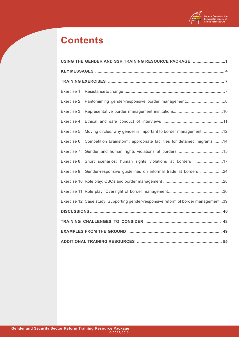

## **Contents**

| USING THE GENDER AND SSR TRAINING RESOURCE PACKAGE 1 |                                                                                     |  |
|------------------------------------------------------|-------------------------------------------------------------------------------------|--|
|                                                      |                                                                                     |  |
|                                                      |                                                                                     |  |
| Exercise 1                                           |                                                                                     |  |
| Exercise 2                                           |                                                                                     |  |
| Exercise 3                                           |                                                                                     |  |
| Exercise 4                                           |                                                                                     |  |
| Exercise 5                                           | Moving circles: why gender is important to border management 12                     |  |
| Exercise 6                                           | Competition brainstorm: appropriate facilities for detained migrants 14             |  |
| Exercise 7                                           |                                                                                     |  |
| Exercise 8                                           | Short scenarios: human rights violations at borders 17                              |  |
| Exercise 9                                           | Gender-responsive guidelines on informal trade at borders 24                        |  |
|                                                      |                                                                                     |  |
|                                                      |                                                                                     |  |
|                                                      | Exercise 12 Case study: Supporting gender-responsive reform of border management 39 |  |
|                                                      |                                                                                     |  |
|                                                      |                                                                                     |  |
|                                                      |                                                                                     |  |
|                                                      |                                                                                     |  |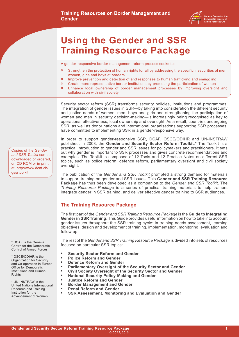

## <span id="page-3-0"></span>**Using the Gender and SSR Training Resource Package**

A gender-responsive border management reform process seeks to:

- » Strengthen the protection of human rights for all by addressing the specific insecurities of men, women, girls and boys at borders
- » Improve prevention and detection of and responses to human trafficking and smuggling
- » Create more representative border institutions by promoting the participation of women
- » Enhance local ownership of border management processes by improving oversight and collaboration with civil society

Security sector reform (SSR) transforms security policies, institutions and programmes. The integration of gender issues in SSR—by taking into consideration the different security and justice needs of women, men, boys and girls and strengthening the participation of women and men in security decision-making—is increasingly being recognised as key to operational effectiveness, local ownership and oversight. As a result, countries undergoing SSR, as well as donor nations and international organisations supporting SSR processes, have committed to implementing SSR in a gender-responsive way.

In order to support gender-responsive SSR, DCAF, OSCE/ODIHR and UN-INSTRAW published, in 2008, the **Gender and Security Sector Reform Toolkit**.\* The Toolkit is a practical introduction to gender and SSR issues for policymakers and practitioners. It sets out why gender is important to SSR processes and gives concrete recommendations and examples. The Toolkit is composed of 12 Tools and 12 Practice Notes on different SSR topics, such as police reform, defence reform, parliamentary oversight and civil society oversight.

The publication of the *Gender and SSR Toolkit* prompted a strong demand for materials to support training on gender and SSR issues. This **Gender and SSR Training Resource Package** has thus been developed as a companion to the *Gender and SSR Toolkit*. The *Training Resource Package* is a series of practical training materials to help trainers integrate gender in SSR training, and deliver effective gender training to SSR audiences.

#### **The Training Resource Package**

The first part of the *Gender and SSR Training Resource Package* is the **Guide to Integrating Gender in SSR Training**. This Guide provides useful information on how to take into account gender issues throughout the SSR training cycle: in training needs assessment, learning objectives, design and development of training, implementation, monitoring, evaluation and follow up.

The rest of the *Gender and SSR Training Resource Package* is divided into sets of resources focused on particular SSR topics:

- **• Security Sector Reform and Gender**
- **• Police Reform and Gender**
- **Defence Reform and Gender**
- **• Parliamentary Oversight of the Security Sector and Gender**
- **Civil Society Oversight of the Security Sector and Gender**
- **National Security Policy-Making and Gender**
- **Justice Reform and Gender**
- **Border Management and Gender**
- **Penal Reform and Gender** 
	- **SSR Assessment, Monitoring and Evaluation and Gender**

Copies of the *Gender and SSR Toolkit* can be downloaded or ordered, on CD ROM or in print, at: [http://www.dcaf.ch/](http://www.dcaf.ch/gssrtoolkit) [gssrtoolki](http://www.dcaf.ch/gssrtoolkit)t

\* DCAF is the Geneva Centre for the Democratic Control of Armed Forces

\* OSCE/ODIHR is the Organization for Security and Co-operation in Europe Office for Democratic Institutions and Human **Rights** 

\* UN-INSTRAW is the United Nations International Research and Training Institution for the Advancement of Women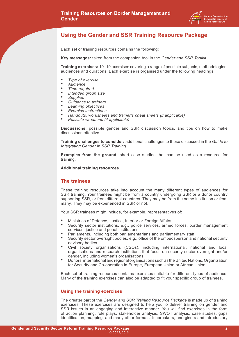

#### **Using the Gender and SSR Training Resource Package**

Each set of training resources contains the following:

**Key messages:** taken from the companion tool in the *Gender and SSR Toolkit.*

**Training exercises:** 10–19 exercises covering a range of possible subjects, methodologies, audiences and durations. Each exercise is organised under the following headings:

- *Type of exercise*
- *• Audience*
- *• Time required*
- *• Intended group size*
- *• Supplies*
- *• Guidance to trainers*
- *Learning objectives*
- *Exercise instructions*
- *• Handouts, worksheets and trainer's cheat sheets (if applicable)*
- *Possible variations (if applicable)*

**Discussions:** possible gender and SSR discussion topics, and tips on how to make discussions effective.

**Training challenges to consider:** additional challenges to those discussed in the *Guide to Integrating Gender in SSR Training*.

**Examples from the ground:** short case studies that can be used as a resource for training.

**Additional training resources.**

#### **The trainees**

These training resources take into account the many different types of audiences for SSR training. Your trainees might be from a country undergoing SSR or a donor country supporting SSR, or from different countries. They may be from the same institution or from many. They may be experienced in SSR or not.

Your SSR trainees might include, for example, representatives of:

- Ministries of Defence, Justice, Interior or Foreign Affairs
- Security sector institutions, e.g., police services, armed forces, border management services, justice and penal institutions
- Parliaments, including both parliamentarians and parliamentary staff
- Security sector oversight bodies, e.g., office of the ombudsperson and national security advisory bodies
- Civil society organisations (CSOs), including international, national and local organisations and research institutions that focus on security sector oversight and/or gender, including women's organisations
- Donors, international and regional organisations such as the United Nations, Organization for Security and Co-operation in Europe, European Union or African Union

Each set of training resources contains exercises suitable for different types of audience. Many of the training exercises can also be adapted to fit your specific group of trainees.

#### **Using the training exercises**

The greater part of the *Gender and SSR Training Resource Package* is made up of training exercises. These exercises are designed to help you to deliver training on gender and SSR issues in an engaging and interactive manner. You will find exercises in the form of action planning, role plays, stakeholder analysis, SWOT analysis, case studies, gaps identification, mapping, and many other formats. Icebreakers, energisers and introductory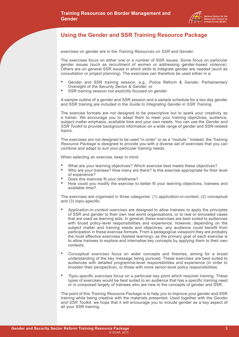

#### **Using the Gender and SSR Training Resource Package**

exercises on gender are in the *Training Resources on SSR and Gender*.

The exercises focus on either one or a number of SSR issues. Some focus on particular gender issues (such as recruitment of women or addressing gender-based violence). Others are on general SSR issues in which skills to integrate gender are needed (such as consultation or project planning). The exercises can therefore be used either in a:

- Gender and SSR training session, e.g., Police Reform & Gender, Parliamentary Oversight of the Security Sector & Gender; or
- SSR training session not explicitly focused on gender.

A sample outline of a gender and SSR session and a sample schedule for a two day gender and SSR training are included in the *Guide to Integrating Gender in SSR Training.*

The exercise formats are not designed to be prescriptive but to spark your creativity as a trainer. We encourage you to adapt them to meet your training objectives, audience, subject matter emphasis, available time and your own needs. You can use the *Gender and SSR Toolkit* to provide background information on a wide range of gender and SSR-related topics.

The exercises are not designed to be used "in order" or as a "module." Instead, the *Training Resource Package* is designed to provide you with a diverse set of exercises that you can combine and adapt to suit your particular training needs.

When selecting an exercise, keep in mind:

- What are your learning objectives? Which exercise best meets these objectives?
- Who are your trainees? How many are there? Is this exercise appropriate for their level of experience?
- Does this exercise fit your timeframe?
- How could you modify the exercise to better fit your learning objectives, trainees and available time?

The exercises are organised in three categories: (1) application-in-context, (2) conceptual and (3) topic-specific.

- *• Application-in-context exercises* are designed to allow trainees to apply the principles of SSR and gender to their own real world organisations, or to real or simulated cases that are used as learning aids. In general, these exercises are best suited to audiences with broad policy-level responsibilities and experience; however, depending on the subject matter and training needs and objectives, any audience could benefit from participation in these exercise formats. From a pedagogical viewpoint they are probably the most effective exercises (fastest learning), as the primary goal of each exercise is to allow trainees to explore and internalise key concepts by applying them to their own contexts.
- *Conceptual exercises* focus on wider concepts and theories, aiming for a broad understanding of the key message being pursued. These exercises are best suited to audiences with detailed programme-level responsibilities and experience (in order to broaden their perspective), or those with more senior-level policy responsibilities.
- *Topic-specific exercises* focus on a particular key point which requires training. These types of exercises would be best suited to an audience that has a specific training need or is composed largely of trainees who are new to the concepts of gender and SSR.

The point of this *Training Resource Package* is to help you to improve your gender and SSR training while being creative with the materials presented. Used together with the *Gender and SSR Toolkit*, we hope that it will encourage you to include gender as a key aspect of all your SSR training.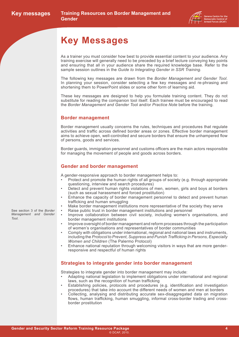

## <span id="page-6-0"></span>**Key Messages**

As a trainer you must consider how best to provide essential content to your audience. Any training exercise will generally need to be preceded by a brief lecture conveying key points and ensuring that all in your audience share the required knowledge base. Refer to the sample session outlines in the *[Guide to Integrating Gender in SSR Training.](http://www.dcaf.ch/publications/kms/details.cfm?ord279=title&q279=gender&lng=en&id=47396&nav1=4)*

The following key messages are drawn from the *Border Management and Gender Tool*. In planning your session, consider selecting a few key messages and re-phrasing and shortening them to PowerPoint slides or some other form of learning aid.

These key messages are designed to help you formulate training content. They do not substitute for reading the companion tool itself. Each trainee must be encouraged to read the *Border Management and Gender Too*l and/or *Practice Note* before the training.

#### **Border management**

Border management usually concerns the rules, techniques and procedures that regulate activities and traffic across defined border areas or zones. Effective border management aims to achieve open, well-controlled and secure borders that ensure the unhampered flow of persons, goods and services.

Border guards, immigration personnel and customs officers are the main actors responsible for managing the movement of people and goods across borders.

#### **Gender and border management**

A gender-responsive approach to border management helps to:

- Protect and promote the human rights of all groups of society (e.g. through appropriate questioning, interview and search procedures)
- Detect and prevent human rights violations of men, women, girls and boys at borders (such as sexual harassment and forced prostitution)
- Enhance the capacity of border management personnel to detect and prevent human trafficking and human smuggling
- Make border management institutions more representative of the society they serve
- Raise public trust in border management institutions and personnel
- Improve collaboration between civil society, including women's organisations, and border management institutions
- Improve oversight of border management and reform processes through the participation of women's organisations and representatives of border communities
- Comply with obligations under international, regional and national laws and instruments, including the *Protocol to Prevent, Suppress and Punish Trafficking in Persons, Especially Women and Children* (The Palermo Protocol)
- Enhance national reputation through welcoming visitors in ways that are more genderresponsive and respectful of human rights

#### **Strategies to integrate gender into border management**

Strategies to integrate gender into border management may include:

- Adapting national legislation to implement obligations under international and regional laws, such as the recognition of human trafficking
- Establishing policies, protocols and procedures (e.g. identification and investigation procedures) that take into account the different needs of women and men at borders
- Collecting, analysing and distributing accurate sex-disaggregated data on migration flows, human trafficking, human smuggling, informal cross-border trading and crossborder prostitution

See section 3 of the *[Border](http://www.dcaf.ch/publications/kms/details.cfm?lng=en&id=47401&nav1=5) [Management and Gender](http://www.dcaf.ch/publications/kms/details.cfm?lng=en&id=47401&nav1=5) [Tool.](http://www.dcaf.ch/publications/kms/details.cfm?lng=en&id=47401&nav1=5)*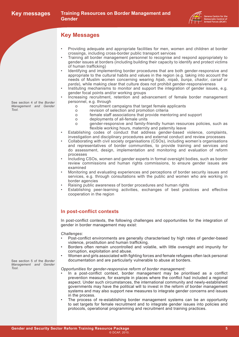

#### **Key Messages**

- Providing adequate and appropriate facilities for men, women and children at border crossings, including cross-border public transport services
- Training all border management personnel to recognise and respond appropriately to gender issues at borders (including building their capacity to identify and protect victims of human trafficking)
- Identifying and implementing border procedures that are both gender-responsive and appropriate to the cultural habits and values in the region (e.g. taking into account the needs of Muslim women concerning wearing *hijab*, *niqab*, *burqa*, *chador*, *carsaf* or *parda*), while making clear that culture does not prohibit gender-responsiveness
- Instituting mechanisms to monitor and support the integration of gender issues, e.g. gender focal points and/or working groups
	- Increasing recruitment, retention and advancement of female border management personnel, e.g. through
		- o recruitment campaigns that target female applicants
			-
		- o revision of selection and promotion criteria female staff associations that provide mentoring and support
		- o deployments of all-female units
		- o gender-responsive and family-friendly human resources policies, such as flexible working hours, maternity and paternity leave
- Establishing codes of conduct that address gender-based violence, complaints, investigation and disciplinary procedures and external conduct and review processes
- Collaborating with civil society organisations (CSOs), including women's organisations and representatives of border communities, to provide training and services and do assessment, design, implementation and monitoring and evaluation of reform processes
- Including CSOs, women and gender experts in formal oversight bodies, such as border review commissions and human rights commissions, to ensure gender issues are examined
- Monitoring and evaluating experiences and perceptions of border security issues and services, e.g. through consultations with the public and women who are working in border agencies
- Raising public awareness of border procedures and human rights
- Establishing peer-learning activities, exchanges of best practices and effective cooperation in the region

#### **In post-conflict contexts**

In post-conflict contexts, the following challenges and opportunities for the integration of gender in border management may exist:

#### *Challenges*:

- Post-conflict environments are generally characterised by high rates of gender-based violence, prostitution and human trafficking.
- Borders often remain uncontrolled and volatile, with little oversight and impunity for corruption, exploitation and abuse.
- Women and girls associated with fighting forces and female refugees often lack personal documentation and are particularly vulnerable to abuse at borders.

#### *Opportunities for gender-responsive reform of border management:*

- In a post-conflict context, border management may be prioritised as a conflict prevention measure, for example in places where the conflict had included a regional aspect. Under such circumstances, the international community and newly-established governments may have the political will to invest in the reform of border management systems and may also support new measures to integrate gender concerns and issues in the process.
- The process of re-establishing border management systems can be an opportunity to set targets for female recruitment and to integrate gender issues into policies and protocols, operational programming and recruitment and training practices.

See section 4 of the *[Border](http://www.dcaf.ch/publications/kms/details.cfm?lng=en&id=47401&nav1=5) [Management and Gender](http://www.dcaf.ch/publications/kms/details.cfm?lng=en&id=47401&nav1=5) [Tool.](http://www.dcaf.ch/publications/kms/details.cfm?lng=en&id=47401&nav1=5)*

See section 5 of the *[Border](http://www.dcaf.ch/publications/kms/details.cfm?lng=en&id=47401&nav1=5) [Management and Gender](http://www.dcaf.ch/publications/kms/details.cfm?lng=en&id=47401&nav1=5) [Tool.](http://www.dcaf.ch/publications/kms/details.cfm?lng=en&id=47401&nav1=5)*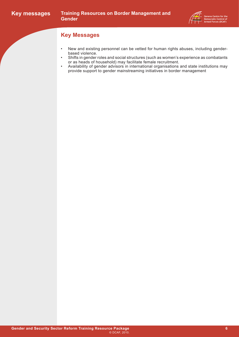

#### **Key Messages**

- New and existing personnel can be vetted for human rights abuses, including genderbased violence.
- Shifts in gender roles and social structures (such as women's experience as combatants or as heads of household) may facilitate female recruitment.
- Availability of gender advisors in international organisations and state institutions may provide support to gender mainstreaming initiatives in border management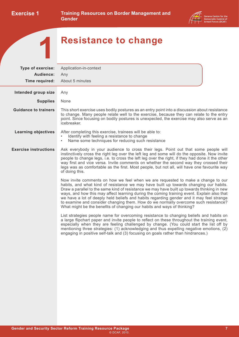

<span id="page-9-0"></span>**1**

## **Resistance to change**

| <b>Type of exercise:</b><br>Audience:<br>Time required: | Application-in-context<br>Any<br>About 5 minutes                                                                                                                                                                                                                                                                                                                                                                                                                                                                                                                                                                                     |
|---------------------------------------------------------|--------------------------------------------------------------------------------------------------------------------------------------------------------------------------------------------------------------------------------------------------------------------------------------------------------------------------------------------------------------------------------------------------------------------------------------------------------------------------------------------------------------------------------------------------------------------------------------------------------------------------------------|
| Intended group size                                     | Any                                                                                                                                                                                                                                                                                                                                                                                                                                                                                                                                                                                                                                  |
| <b>Supplies</b>                                         | None                                                                                                                                                                                                                                                                                                                                                                                                                                                                                                                                                                                                                                 |
| <b>Guidance to trainers</b>                             | This short exercise uses bodily postures as an entry point into a discussion about resistance<br>to change. Many people relate well to the exercise, because they can relate to the entry<br>point. Since focusing on bodily postures is unexpected, the exercise may also serve as an<br>icebreaker.                                                                                                                                                                                                                                                                                                                                |
| <b>Learning objectives</b>                              | After completing this exercise, trainees will be able to:<br>Identify with feeling a resistance to change<br>$\bullet$<br>Name some techniques for reducing such resistance<br>$\bullet$                                                                                                                                                                                                                                                                                                                                                                                                                                             |
| <b>Exercise instructions</b>                            | Ask everybody in your audience to cross their legs. Point out that some people will<br>instinctively cross the right leg over the left leg and some will do the opposite. Now invite<br>people to change legs, i.e. to cross the left leg over the right, if they had done it the other<br>way first and vice versa. Invite comments on whether the second way they crossed their<br>legs was as comfortable as the first. Most people, but not all, will have one favourite way<br>of doing this.                                                                                                                                   |
|                                                         | Now invite comments on how we feel when we are requested to make a change to our<br>habits, and what kind of resistance we may have built up towards changing our habits.<br>Draw a parallel to the same kind of resistance we may have built up towards thinking in new<br>ways, and how this may affect learning during the coming training event. Explain also that<br>we have a lot of deeply held beliefs and habits regarding gender and it may feel strange<br>to examine and consider changing them. How do we normally overcome such resistance?<br>What might be the benefits of changing our habits and ways of thinking? |
|                                                         | List strategies people name for overcoming resistance to changing beliefs and habits on<br>a large flipchart paper and invite people to reflect on these throughout the training event,<br>especially when they are feeling challenged by change. (You could start the list off by<br>mentioning three strategies: (1) acknowledging and thus expelling negative emotions, (2)<br>engaging in positive self-talk and (3) focusing on goals rather than hindrances.)                                                                                                                                                                  |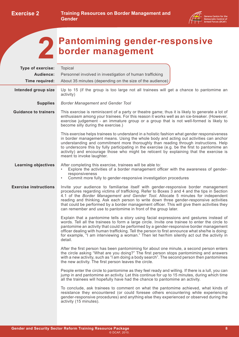

<span id="page-10-0"></span>

## **Pantomiming gender-responsive border management**

| <b>Type of exercise:</b>     | <b>Topical</b>                                                                                                                                                                                                                                                                                                                                                                                                                                                                                                                    |  |  |  |
|------------------------------|-----------------------------------------------------------------------------------------------------------------------------------------------------------------------------------------------------------------------------------------------------------------------------------------------------------------------------------------------------------------------------------------------------------------------------------------------------------------------------------------------------------------------------------|--|--|--|
| Audience:                    | Personnel involved in investigation of human trafficking                                                                                                                                                                                                                                                                                                                                                                                                                                                                          |  |  |  |
| Time required:               | About 35 minutes (depending on the size of the audience)                                                                                                                                                                                                                                                                                                                                                                                                                                                                          |  |  |  |
| Intended group size          | Up to 15 (if the group is too large not all trainees will get a chance to pantomime an<br>activity)                                                                                                                                                                                                                                                                                                                                                                                                                               |  |  |  |
| <b>Supplies</b>              | <b>Border Management and Gender Tool</b>                                                                                                                                                                                                                                                                                                                                                                                                                                                                                          |  |  |  |
| <b>Guidance to trainers</b>  | This exercise is reminiscent of a party or theatre game; thus it is likely to generate a lot of<br>enthusiasm among your trainees. For this reason it works well as an ice-breaker. (However,<br>exercise judgement - an immature group or a group that is not well-formed is likely to<br>become silly during the exercise.)                                                                                                                                                                                                     |  |  |  |
|                              | This exercise helps trainees to understand in a holistic fashion what gender responsiveness<br>in border management means. Using the whole body and acting out activities can anchor<br>understanding and commitment more thoroughly than reading through instructions. Help<br>to underscore this by fully participating in the exercise (e.g. be the first to pantomime an<br>activity) and encourage those who might be reticent by explaining that the exercise is<br>meant to invoke laughter.                               |  |  |  |
| <b>Learning objectives</b>   | After completing this exercise, trainees will be able to:<br>Explore the activities of a border management officer with the awareness of gender-<br>responsiveness<br>Commit more fully to gender-responsive investigation procedures                                                                                                                                                                                                                                                                                             |  |  |  |
| <b>Exercise instructions</b> | Invite your audience to familiarise itself with gender-responsive border management<br>procedures regarding victims of trafficking. Refer to Boxes 3 and 4 and the tips in Section<br>4.1 of the Border Management and Gender Tool. Allocate 5 minutes for independent<br>reading and thinking. Ask each person to write down three gender-responsive activities<br>that could be performed by a border management officer. This will give them activities they<br>can remember and use to pantomime in front of the group later. |  |  |  |
|                              | Explain that a pantomime tells a story using facial expressions and gestures instead of<br>words. Tell all the trainees to form a large circle. Invite one trainee to enter the circle to<br>pantomime an activity that could be performed by a gender-responsive border management<br>officer dealing with human trafficking. Tell the person to first announce what she/he is doing:<br>for example, "I am interviewing a woman." Then let her/him silently act out the activity in<br>detail.                                  |  |  |  |
|                              | After the first person has been pantomiming for about one minute, a second person enters<br>the circle asking "What are you doing?" The first person stops pantomiming and answers<br>with a new activity, such as "I am doing a body search". The second person then pantomimes<br>the new activity. The first person leaves the circle.                                                                                                                                                                                         |  |  |  |
|                              | People enter the circle to pantomime as they feel ready and willing. If there is a lull, you can<br>jump in and pantomime an activity. Let this continue for up to 15 minutes, during which time<br>all the trainees will hopefully have had the chance to pantomime an activity.                                                                                                                                                                                                                                                 |  |  |  |
|                              | To conclude, ask trainees to comment on what the pantomime achieved, what kinds of<br>resistance they encountered (or could foresee others encountering while experiencing<br>gender-responsive procedures) and anything else they experienced or observed during the<br>activity (15 minutes).                                                                                                                                                                                                                                   |  |  |  |
|                              |                                                                                                                                                                                                                                                                                                                                                                                                                                                                                                                                   |  |  |  |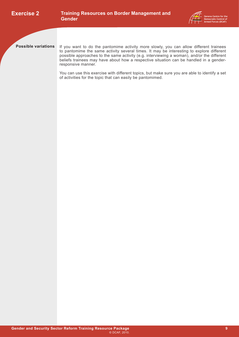

**Possible variations**

If you want to do the pantomime activity more slowly, you can allow different trainees to pantomime the same activity several times. It may be interesting to explore different possible approaches to the same activity (e.g. interviewing a woman), and/or the different beliefs trainees may have about how a respective situation can be handled in a genderresponsive manner.

You can use this exercise with different topics, but make sure you are able to identify a set of activities for the topic that can easily be pantomimed.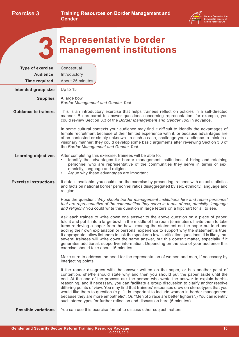

## **Representative border management institutions**

<span id="page-12-0"></span>

|                              | <b>Representative border</b>                                                                                                                                                                                                                                                                                                                                                                                                                                                                                                                                                                                                                                                                                                                     |
|------------------------------|--------------------------------------------------------------------------------------------------------------------------------------------------------------------------------------------------------------------------------------------------------------------------------------------------------------------------------------------------------------------------------------------------------------------------------------------------------------------------------------------------------------------------------------------------------------------------------------------------------------------------------------------------------------------------------------------------------------------------------------------------|
|                              | management institutions                                                                                                                                                                                                                                                                                                                                                                                                                                                                                                                                                                                                                                                                                                                          |
|                              |                                                                                                                                                                                                                                                                                                                                                                                                                                                                                                                                                                                                                                                                                                                                                  |
| Type of exercise:            | Conceptual                                                                                                                                                                                                                                                                                                                                                                                                                                                                                                                                                                                                                                                                                                                                       |
| Audience:                    | Introductory                                                                                                                                                                                                                                                                                                                                                                                                                                                                                                                                                                                                                                                                                                                                     |
| Time required:               | About 25 minutes                                                                                                                                                                                                                                                                                                                                                                                                                                                                                                                                                                                                                                                                                                                                 |
| Intended group size          | Up to $15$                                                                                                                                                                                                                                                                                                                                                                                                                                                                                                                                                                                                                                                                                                                                       |
| <b>Supplies</b>              | A large bowl<br><b>Border Management and Gender Tool</b>                                                                                                                                                                                                                                                                                                                                                                                                                                                                                                                                                                                                                                                                                         |
| <b>Guidance to trainers</b>  | This is an introductory exercise that helps trainees reflect on policies in a self-directed<br>manner. Be prepared to answer questions concerning representation; for example, you<br>could review Section 3.3 of the Border Management and Gender Tool in advance.                                                                                                                                                                                                                                                                                                                                                                                                                                                                              |
|                              | In some cultural contexts your audience may find it difficult to identify the advantages of<br>female recruitment because of their limited experience with it, or because advantages are<br>often contested or simply unknown. In such a case, challenge your audience to think in a<br>visionary manner: they could develop some basic arguments after reviewing Section 3.3 of<br>the Border Management and Gender Tool.                                                                                                                                                                                                                                                                                                                       |
| <b>Learning objectives</b>   | After completing this exercise, trainees will be able to:<br>Identify the advantages for border management institutions of hiring and retaining<br>personnel who are representative of the communities they serve in terms of sex,<br>ethnicity, language and religion<br>Argue why these advantages are important                                                                                                                                                                                                                                                                                                                                                                                                                               |
| <b>Exercise instructions</b> | If data is available, you could start the exercise by presenting trainees with actual statistics<br>and facts on national border personnel ratios disaggregated by sex, ethnicity, language and<br>religion.                                                                                                                                                                                                                                                                                                                                                                                                                                                                                                                                     |
|                              | Pose the question: Why should border management institutions hire and retain personnel<br>that are representative of the communities they serve in terms of sex, ethnicity, language<br>and religion? You could write this question in large letters on a flipchart for all to see.                                                                                                                                                                                                                                                                                                                                                                                                                                                              |
|                              | Ask each trainee to write down one answer to the above question on a piece of paper,<br>fold it and put it into a large bowl in the middle of the room (5 minutes). Invite them to take<br>turns retrieving a paper from the bowl, reading the statement on the paper out loud and<br>adding their own explanation or personal experience to support why the statement is true.<br>If appropriate, allow listeners to ask the speaker a few clarification questions. It is likely that<br>several trainees will write down the same answer, but this doesn't matter, especially if it<br>generates additional, supportive information. Depending on the size of your audience this<br>exercise should take about 15 minutes.                     |
|                              | Make sure to address the need for the representation of women and men, if necessary by<br>interjecting points.                                                                                                                                                                                                                                                                                                                                                                                                                                                                                                                                                                                                                                   |
|                              | If the reader disagrees with the answer written on the paper, or has another point of<br>contention, she/he should state why and then you should put the paper aside until the<br>end. At the end of the process ask the person who wrote the answer to explain her/his<br>reasoning, and if necessary, you can facilitate a group discussion to clarify and/or resolve<br>differing points of view. You may find that trainees' responses draw on stereotypes that you<br>would like them to question (e.g. "It is important to include women in border management<br>because they are more empathetic". Or, "Men of x race are better fighters".) You can identify<br>such stereotypes for further reflection and discussion here (5 minutes). |
|                              |                                                                                                                                                                                                                                                                                                                                                                                                                                                                                                                                                                                                                                                                                                                                                  |

**Possible variations** You can use this exercise format to discuss other subject matters.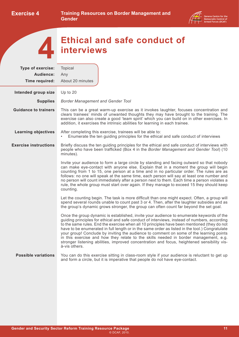

<span id="page-13-0"></span>**4**

## **Ethical and safe conduct of interviews**

| Type of exercise:<br>Audience:<br>Time required:                                                                                                                                                                                    | <b>Topical</b><br>Any<br>About 20 minutes                                                                                                                                                                                                                                                                                                                                                                                                                                                                                                                                                                                                                                                    |  |  |  |  |
|-------------------------------------------------------------------------------------------------------------------------------------------------------------------------------------------------------------------------------------|----------------------------------------------------------------------------------------------------------------------------------------------------------------------------------------------------------------------------------------------------------------------------------------------------------------------------------------------------------------------------------------------------------------------------------------------------------------------------------------------------------------------------------------------------------------------------------------------------------------------------------------------------------------------------------------------|--|--|--|--|
| Intended group size                                                                                                                                                                                                                 | Up to 20                                                                                                                                                                                                                                                                                                                                                                                                                                                                                                                                                                                                                                                                                     |  |  |  |  |
| <b>Supplies</b>                                                                                                                                                                                                                     | <b>Border Management and Gender Tool</b>                                                                                                                                                                                                                                                                                                                                                                                                                                                                                                                                                                                                                                                     |  |  |  |  |
| <b>Guidance to trainers</b>                                                                                                                                                                                                         | This can be a great warm-up exercise as it invokes laughter, focuses concentration and<br>clears trainees' minds of unwanted thoughts they may have brought to the training. The<br>exercise can also create a good 'team spirit' which you can build on in other exercises. In<br>addition, it exercises the intrinsic abilities for learning in each trainee.                                                                                                                                                                                                                                                                                                                              |  |  |  |  |
| <b>Learning objectives</b>                                                                                                                                                                                                          | After completing this exercise, trainees will be able to:<br>Enumerate the ten guiding principles for the ethical and safe conduct of interviews                                                                                                                                                                                                                                                                                                                                                                                                                                                                                                                                             |  |  |  |  |
| <b>Exercise instructions</b><br>Briefly discuss the ten guiding principles for the ethical and safe conduct of interviews with<br>people who have been trafficked (Box 4 in the Border Management and Gender Tool) (10<br>minutes). |                                                                                                                                                                                                                                                                                                                                                                                                                                                                                                                                                                                                                                                                                              |  |  |  |  |
|                                                                                                                                                                                                                                     | Invite your audience to form a large circle by standing and facing outward so that nobody<br>can make eye-contact with anyone else. Explain that in a moment the group will begin<br>counting from 1 to 15, one person at a time and in no particular order. The rules are as<br>follows: no one will speak at the same time, each person will say at least one number and<br>no person will count immediately after a person next to them. Each time a person violates a<br>rule, the whole group must start over again. If they manage to exceed 15 they should keep<br>counting.                                                                                                          |  |  |  |  |
|                                                                                                                                                                                                                                     | Let the counting begin. The task is more difficult than one might expect. Often, a group will<br>spend several rounds unable to count past 3 or 4. Then, after the laughter subsides and as<br>the group's dynamic grows stronger, the group can often count far beyond the set goal.                                                                                                                                                                                                                                                                                                                                                                                                        |  |  |  |  |
|                                                                                                                                                                                                                                     | Once the group dynamic is established, invite your audience to enumerate keywords of the<br>guiding principles for ethical and safe conduct of interviews, instead of numbers, according<br>to the same rules. End the exercise when all 10 principles have been mentioned (they do not<br>have to be enumerated in full length or in the same order as listed in the tool.) Congratulate<br>your group! Conclude by inviting the audience to comment on some of the learning points<br>in this exercise and how they relate to the skills needed in border management, e.g.<br>stronger listening abilities, improved concentration and focus, heightened sensibility vis-<br>à-vis others. |  |  |  |  |
| <b>Possible variations</b>                                                                                                                                                                                                          | You can do this exercise sitting in class-room style if your audience is reluctant to get up<br>and form a circle, but it is imperative that people do not have eye-contact.                                                                                                                                                                                                                                                                                                                                                                                                                                                                                                                 |  |  |  |  |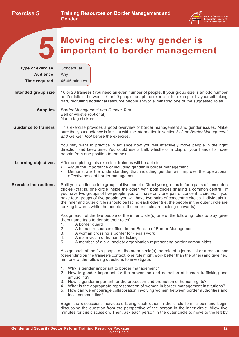

<span id="page-14-0"></span>**5**

## **Moving circles: why gender is important to border management**

| <b>Type of exercise:</b>     | Conceptual                                                                                                                                                                                                                                                                                                                                                                                                                                                                                                                                                                            |  |  |  |
|------------------------------|---------------------------------------------------------------------------------------------------------------------------------------------------------------------------------------------------------------------------------------------------------------------------------------------------------------------------------------------------------------------------------------------------------------------------------------------------------------------------------------------------------------------------------------------------------------------------------------|--|--|--|
| Audience:                    | Any                                                                                                                                                                                                                                                                                                                                                                                                                                                                                                                                                                                   |  |  |  |
| Time required:               | 45-65 minutes                                                                                                                                                                                                                                                                                                                                                                                                                                                                                                                                                                         |  |  |  |
| Intended group size          | 10 or 20 trainees (You need an even number of people. If your group size is an odd number<br>and/or falls in-between 10 or 20 people, adapt the exercise, for example, by yourself taking<br>part, recruiting additional resource people and/or eliminating one of the suggested roles.)                                                                                                                                                                                                                                                                                              |  |  |  |
| <b>Supplies</b>              | <b>Border Management and Gender Tool</b><br>Bell or whistle (optional)<br>Name tag stickers                                                                                                                                                                                                                                                                                                                                                                                                                                                                                           |  |  |  |
| <b>Guidance to trainers</b>  | This exercise provides a good overview of border management and gender issues. Make<br>sure that your audience is familiar with the information in section 3 of the Border Management<br>and Gender Tool before the exercise.                                                                                                                                                                                                                                                                                                                                                         |  |  |  |
|                              | You may want to practice in advance how you will effectively move people in the right<br>direction and keep time. You could use a bell, whistle or a clap of your hands to move<br>people from one position to the next.                                                                                                                                                                                                                                                                                                                                                              |  |  |  |
| <b>Learning objectives</b>   | After completing this exercise, trainees will be able to:<br>Argue the importance of including gender in border management<br>$\bullet$<br>Demonstrate the understanding that including gender will improve the operational<br>$\bullet$<br>effectiveness of border management.                                                                                                                                                                                                                                                                                                       |  |  |  |
| <b>Exercise instructions</b> | Split your audience into groups of five people. Direct your groups to form pairs of concentric<br>circles (that is, one circle inside the other, with both circles sharing a common centre). If<br>you have two groups of five people, you will have only one pair of concentric circles. If you<br>have four groups of five people, you will have two pairs of concentric circles. Individuals in<br>the inner and outer circles should be facing each other (i.e. the people in the outer circle are<br>looking inwards while the people in the inner circle are looking outwards). |  |  |  |
|                              | Assign each of the five people of the inner circle(s) one of the following roles to play (give<br>them name tags to denote their roles):<br>A border guard<br>1.<br>2.<br>A human resources officer in the Bureau of Border Management<br>3.<br>A woman crossing a border for (legal) work<br>A male victim of human trafficking<br>4.<br>A member of a civil society organisation representing border communities<br>5.                                                                                                                                                              |  |  |  |
|                              | Assign each of the five people on the outer circle(s) the role of a journalist or a researcher<br>(depending on the trainee's context, one role might work better than the other) and give her/<br>him one of the following questions to investigate:                                                                                                                                                                                                                                                                                                                                 |  |  |  |
|                              | 1. Why is gender important to border management?<br>2. How is gender important for the prevention and detection of human trafficking and<br>smuggling?<br>3. How is gender important for the protection and promotion of human rights?<br>4. What is the appropriate representation of women in border management institutions?<br>5. How can we encourage collaboration involving women between border authorities and<br>local communities?                                                                                                                                         |  |  |  |
|                              | Begin the discussion: individuals facing each other in the circle form a pair and begin<br>discussing the question from the perspective of the person in the inner circle. Allow five<br>minutes for this discussion. Then, ask each person in the outer circle to move to the left by                                                                                                                                                                                                                                                                                                |  |  |  |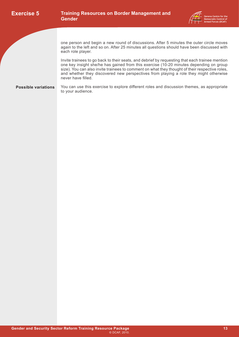



one person and begin a new round of discussions. After 5 minutes the outer circle moves again to the left and so on. After 25 minutes all questions should have been discussed with each role player.

Invite trainees to go back to their seats, and debrief by requesting that each trainee mention one key insight she/he has gained from this exercise (10-20 minutes depending on group size). You can also invite trainees to comment on what they thought of their respective roles, and whether they discovered new perspectives from playing a role they might otherwise never have filled.

**Possible variations** You can use this exercise to explore different roles and discussion themes, as appropriate to your audience.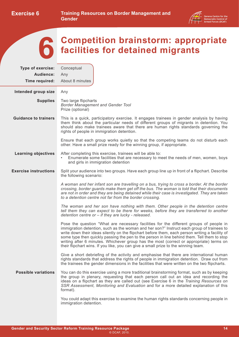

<span id="page-16-0"></span>**6**

## **Competition brainstorm: appropriate facilities for detained migrants**

| Type of exercise:<br>Audience:<br>Time required: | Conceptual<br>Any<br>About 8 minutes                                                                                                                                                                                                                                                                                                                                                                                                                                                                                                                                   |  |  |  |  |
|--------------------------------------------------|------------------------------------------------------------------------------------------------------------------------------------------------------------------------------------------------------------------------------------------------------------------------------------------------------------------------------------------------------------------------------------------------------------------------------------------------------------------------------------------------------------------------------------------------------------------------|--|--|--|--|
| Intended group size                              | Any                                                                                                                                                                                                                                                                                                                                                                                                                                                                                                                                                                    |  |  |  |  |
| <b>Supplies</b>                                  | Two large flipcharts<br><b>Border Management and Gender Tool</b><br>Prize (optional)                                                                                                                                                                                                                                                                                                                                                                                                                                                                                   |  |  |  |  |
| <b>Guidance to trainers</b>                      | This is a quick, participatory exercise. It engages trainees in gender analysis by having<br>them think about the particular needs of different groups of migrants in detention. You<br>should also make trainees aware that there are human rights standards governing the<br>rights of people in immigration detention.                                                                                                                                                                                                                                              |  |  |  |  |
|                                                  | Ensure that each group works quietly so that the competing teams do not disturb each<br>other. Have a small prize ready for the winning group, if appropriate.                                                                                                                                                                                                                                                                                                                                                                                                         |  |  |  |  |
| <b>Learning objectives</b>                       | After completing this exercise, trainees will be able to:<br>Enumerate some facilities that are necessary to meet the needs of men, women, boys<br>and girls in immigration detention                                                                                                                                                                                                                                                                                                                                                                                  |  |  |  |  |
| <b>Exercise instructions</b>                     | Split your audience into two groups. Have each group line up in front of a flipchart. Describe<br>the following scenario:                                                                                                                                                                                                                                                                                                                                                                                                                                              |  |  |  |  |
|                                                  | A woman and her infant son are travelling on a bus, trying to cross a border. At the border<br>crossing, border guards make them get off the bus. The woman is told that their documents<br>are not in order and they are being detained while their case is investigated. They are taken<br>to a detention centre not far from the border crossing.                                                                                                                                                                                                                   |  |  |  |  |
|                                                  | The woman and her son have nothing with them. Other people in the detention centre<br>tell them they can expect to be there for weeks, before they are transferred to another<br>detention centre or - if they are lucky - released.                                                                                                                                                                                                                                                                                                                                   |  |  |  |  |
|                                                  | Pose the question "What are necessary facilities for the different groups of people in<br>immigration detention, such as the woman and her son?" Instruct each group of trainees to<br>write down their ideas silently on the flipchart before them, each person writing a facility of<br>some type then quickly passing the pen to the person in line behind them. Tell them to stop<br>writing after 6 minutes. Whichever group has the most (correct or appropriate) terms on<br>their flipchart wins. If you like, you can give a small prize to the winning team. |  |  |  |  |
|                                                  | Give a short debriefing of the activity and emphasise that there are international human<br>rights standards that address the rights of people in immigration detention. Draw out from<br>the trainees the gender dimensions in the facilities that were written on the two flipcharts.                                                                                                                                                                                                                                                                                |  |  |  |  |
| <b>Possible variations</b>                       | You can do this exercise using a more traditional brainstorming format, such as by keeping<br>the group in plenary, requesting that each person call out an idea and recording the<br>ideas on a flipchart as they are called out (see Exercise 6 in the Training Resources on<br>SSR Assessment, Monitoring and Evaluation and for a more detailed explanation of this<br>format).                                                                                                                                                                                    |  |  |  |  |
|                                                  | You could adapt this exercise to examine the human rights standards concerning people in<br>immigration detention.                                                                                                                                                                                                                                                                                                                                                                                                                                                     |  |  |  |  |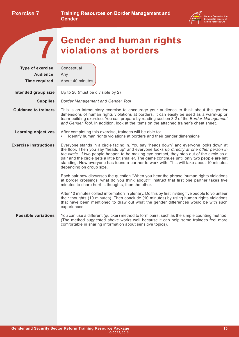

## **Gender and human rights violations at borders**

<span id="page-17-0"></span>

| <b>Gender and human rights</b><br>violations at borders                                                                                                                                                                                                                                                                                                                                                                                                                                                       |  |  |
|---------------------------------------------------------------------------------------------------------------------------------------------------------------------------------------------------------------------------------------------------------------------------------------------------------------------------------------------------------------------------------------------------------------------------------------------------------------------------------------------------------------|--|--|
| Conceptual                                                                                                                                                                                                                                                                                                                                                                                                                                                                                                    |  |  |
| Any<br>About 40 minutes                                                                                                                                                                                                                                                                                                                                                                                                                                                                                       |  |  |
| Up to 20 (must be divisible by 2)                                                                                                                                                                                                                                                                                                                                                                                                                                                                             |  |  |
| <b>Border Management and Gender Tool</b>                                                                                                                                                                                                                                                                                                                                                                                                                                                                      |  |  |
| This is an introductory exercise to encourage your audience to think about the gender<br>dimensions of human rights violations at borders. It can easily be used as a warm-up or<br>team-building exercise. You can prepare by reading section 3.2 of the Border Management<br>and Gender Tool. In addition, look at the items on the attached trainer's cheat sheet.                                                                                                                                         |  |  |
| After completing this exercise, trainees will be able to:<br>Identify human rights violations at borders and their gender dimensions<br>$\bullet$                                                                                                                                                                                                                                                                                                                                                             |  |  |
| Everyone stands in a circle facing in. You say "heads down" and everyone looks down at<br>the floor. Then you say "heads up" and everyone looks up directly at one other person in<br>the circle. If two people happen to be making eye contact, they step out of the circle as a<br>pair and the circle gets a little bit smaller. The game continues until only two people are left<br>standing. Now everyone has found a partner to work with. This will take about 10 minutes<br>depending on group size. |  |  |
| Each pair now discusses the question "When you hear the phrase 'human rights violations<br>at border crossings' what do you think about?" Instruct that first one partner takes five<br>minutes to share her/his thoughts, then the other.                                                                                                                                                                                                                                                                    |  |  |
| After 10 minutes collect information in plenary. Do this by first inviting five people to volunteer<br>their thoughts (10 minutes). Then conclude (10 minutes) by using human rights violations<br>that have been mentioned to draw out what the gender differences would be with such<br>experiences.                                                                                                                                                                                                        |  |  |
| You can use a different (quicker) method to form pairs, such as the simple counting method.<br>(The method suggested above works well because it can help some trainees feel more<br>comfortable in sharing information about sensitive topics).                                                                                                                                                                                                                                                              |  |  |
|                                                                                                                                                                                                                                                                                                                                                                                                                                                                                                               |  |  |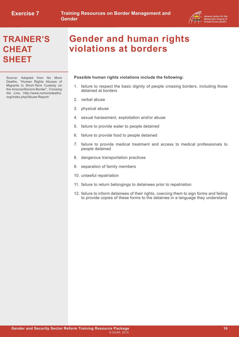

### **TRAINER'S CHEAT SHEET**

Source: Adapted from No More Deaths, "Human Rights Abuses of Migrants in Short-Term Custody on the Arizona/Sonora Border", *Crossing the Line*, [http://www.nomoredeaths.](http://www.nomoredeaths.org/index.php/Abuse-Report/) [org/index.php/Abuse-Report/](http://www.nomoredeaths.org/index.php/Abuse-Report/)

## **Gender and human rights violations at borders**

#### **Possible human rights violations include the following:**

- 1. failure to respect the basic dignity of people crossing borders, including those detained at borders
- 2. verbal abuse
- 3. physical abuse
- 4. sexual harassment, exploitation and/or abuse
- 5. failure to provide water to people detained
- 6. failure to provide food to people detained
- 7. failure to provide medical treatment and access to medical professionals to people detained
- 8. dangerous transportation practices
- 9. separation of family members
- 10. unlawful repatriation
- 11. failure to return belongings to detainees prior to repatriation
- 12. failure to inform detainees of their rights, coercing them to sign forms and failing to provide copies of these forms to the detainee in a language they understand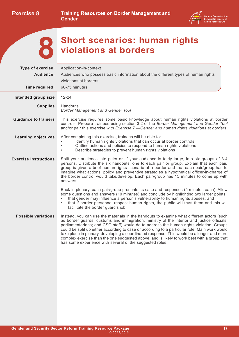

<span id="page-19-0"></span>**8**

**Short scenarios: human rights violations at borders**

| Type of exercise:            | Application-in-context                                                                                                                                                                                                                                                                                                                                                                                                                                                                                                                                                                                                                      |  |  |
|------------------------------|---------------------------------------------------------------------------------------------------------------------------------------------------------------------------------------------------------------------------------------------------------------------------------------------------------------------------------------------------------------------------------------------------------------------------------------------------------------------------------------------------------------------------------------------------------------------------------------------------------------------------------------------|--|--|
| Audience:                    | Audiences who possess basic information about the different types of human rights                                                                                                                                                                                                                                                                                                                                                                                                                                                                                                                                                           |  |  |
|                              | violations at borders                                                                                                                                                                                                                                                                                                                                                                                                                                                                                                                                                                                                                       |  |  |
| Time required:               | 60-75 minutes                                                                                                                                                                                                                                                                                                                                                                                                                                                                                                                                                                                                                               |  |  |
| Intended group size          | $12 - 24$                                                                                                                                                                                                                                                                                                                                                                                                                                                                                                                                                                                                                                   |  |  |
| <b>Supplies</b>              | Handouts<br><b>Border Management and Gender Tool</b>                                                                                                                                                                                                                                                                                                                                                                                                                                                                                                                                                                                        |  |  |
| <b>Guidance to trainers</b>  | This exercise requires some basic knowledge about human rights violations at border<br>controls. Prepare trainees using section 3.2 of the Border Management and Gender Tool<br>and/or pair this exercise with Exercise 7 - Gender and human rights violations at borders.                                                                                                                                                                                                                                                                                                                                                                  |  |  |
| <b>Learning objectives</b>   | After completing this exercise, trainees will be able to:<br>Identify human rights violations that can occur at border controls<br>Outline actions and policies to respond to human rights violations<br>Describe strategies to prevent human rights violations                                                                                                                                                                                                                                                                                                                                                                             |  |  |
| <b>Exercise instructions</b> | Split your audience into pairs or, if your audience is fairly large, into six groups of 3-4<br>persons. Distribute the six handouts, one to each pair or group. Explain that each pair/<br>group is given a brief human rights scenario at a border and that each pair/group has to<br>imagine what actions, policy and preventive strategies a hypothetical officer-in-charge of<br>the border control would take/develop. Each pair/group has 15 minutes to come up with<br>answers.                                                                                                                                                      |  |  |
|                              | Back in plenary, each pair/group presents its case and responses (5 minutes each). Allow<br>some questions and answers (10 minutes) and conclude by highlighting two larger points:<br>that gender may influence a person's vulnerability to human rights abuses; and<br>that if border personnel respect human rights, the public will trust them and this will<br>facilitate the border guard's job.                                                                                                                                                                                                                                      |  |  |
| <b>Possible variations</b>   | Instead, you can use the materials in the handouts to examine what different actors (such<br>as border guards; customs and immigration, ministry of the interior and justice officials;<br>parliamentarians; and CSO staff) would do to address the human rights violation. Groups<br>could be split up either according to case or according to a particular role. Main work would<br>take place in plenary, developing a coordinated response. This would be a longer and more<br>complex exercise than the one suggested above, and is likely to work best with a group that<br>has some experience with several of the suggested roles. |  |  |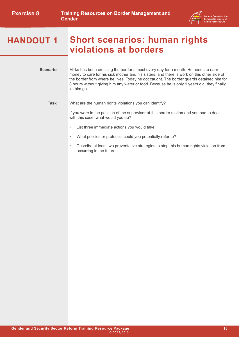

## **HANDOUT 1 Short scenarios: human rights violations at borders**

**Scenario** Mirko has been crossing the border almost every day for a month. He needs to earn money to care for his sick mother and his sisters, and there is work on this other side of the border from where he lives. Today he got caught. The border guards detained him for 8 hours without giving him any water or food. Because he is only 9 years old, they finally let him go.

#### **Task** What are the human rights violations you can identify?

- List three immediate actions you would take.
- What policies or protocols could you potentially refer to?
- Describe at least two preventative strategies to stop this human rights violation from occurring in the future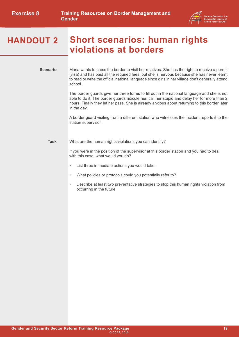

## **HANDOUT 2 Short scenarios: human rights violations at borders**

**Scenario**

Maria wants to cross the border to visit her relatives. She has the right to receive a permit (visa) and has paid all the required fees, but she is nervous because she has never learnt to read or write the official national language since girls in her village don't generally attend school.

The border guards give her three forms to fill out in the national language and she is not able to do it. The border guards ridicule her, call her stupid and delay her for more than 2 hours. Finally they let her pass. She is already anxious about returning to this border later in the day.

A border guard visiting from a different station who witnesses the incident reports it to the station supervisor.

What are the human rights violations you can identify? **Task**

- List three immediate actions you would take.
- What policies or protocols could you potentially refer to?
- Describe at least two preventative strategies to stop this human rights violation from occurring in the future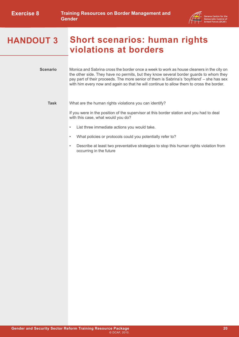

## **HANDOUT 3 Short scenarios: human rights violations at borders**

**Scenario** Monica and Sabrina cross the border once a week to work as house cleaners in the city on the other side. They have no permits, but they know several border guards to whom they pay part of their proceeds. The more senior of them is Sabrina's 'boyfriend' – she has sex with him every now and again so that he will continue to allow them to cross the border.

#### **Task** What are the human rights violations you can identify?

- List three immediate actions you would take.
- What policies or protocols could you potentially refer to?
- Describe at least two preventative strategies to stop this human rights violation from occurring in the future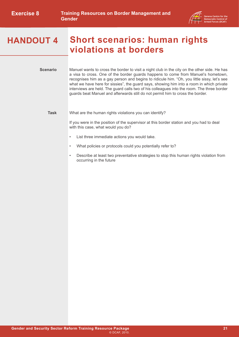

## **HANDOUT 4 Short scenarios: human rights violations at borders**

Manuel wants to cross the border to visit a night club in the city on the other side. He has a visa to cross. One of the border guards happens to come from Manuel's hometown, recognises him as a gay person and begins to ridicule him. "Oh, you little sissy, let's see what we have here for sissies", the guard says, showing him into a room in which private interviews are held. The guard calls two of his colleagues into the room. The three border guards beat Manuel and afterwards still do not permit him to cross the border. **Scenario**

What are the human rights violations you can identify? **Task**

- List three immediate actions you would take.
- What policies or protocols could you potentially refer to?
- Describe at least two preventative strategies to stop this human rights violation from occurring in the future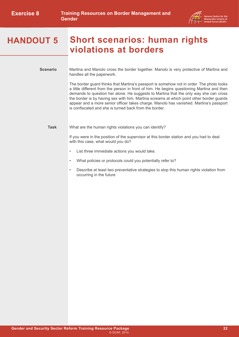

## **HANDOUT 5 Short scenarios: human rights violations at borders**

Martina and Manolo cross the border together. Manolo is very protective of Martina and handles all the paperwork. **Scenario**

> The border guard thinks that Martina's passport is somehow not in order. The photo looks a little different from the person in front of him. He begins questioning Martina and then demands to question her alone. He suggests to Martina that the only way she can cross the border is by having sex with him. Martina screams at which point other border guards appear and a more senior officer takes charge. Manolo has vanished. Martina's passport is confiscated and she is turned back from the border.

What are the human rights violations you can identify? **Task**

- List three immediate actions you would take.
- What policies or protocols could you potentially refer to?
- Describe at least two preventative strategies to stop this human rights violation from occurring in the future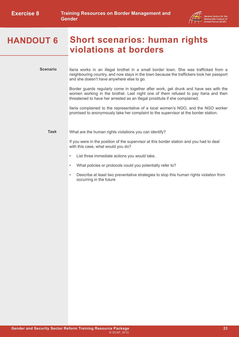

## **HANDOUT 6 Short scenarios: human rights violations at borders**

Ilaria works in an illegal brothel in a small border town. She was trafficked from a neighbouring country, and now stays in the town because the traffickers took her passport and she doesn't have anywhere else to go. **Scenario**

> Border guards regularly come in together after work, get drunk and have sex with the women working in the brothel. Last night one of them refused to pay IIaria and then threatened to have her arrested as an illegal prostitute if she complained.

> Ilaria complained to the representative of a local women's NGO, and the NGO worker promised to anonymously take her complaint to the supervisor at the border station.

What are the human rights violations you can identify? **Task**

- List three immediate actions you would take.
- What policies or protocols could you potentially refer to?
- Describe at least two preventative strategies to stop this human rights violation from occurring in the future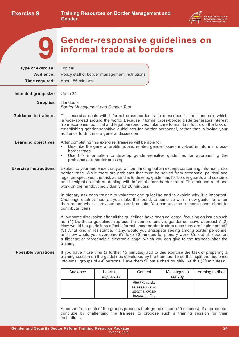

<span id="page-26-0"></span>**9**

**Gender-responsive guidelines on informal trade at borders**

| <b>Type of exercise:</b>     | <b>Topical</b>                                                                                                                                                                                                                                                                                                                                                                                                                                                                                                                                                                 |                        |                                                                       |                       |                 |
|------------------------------|--------------------------------------------------------------------------------------------------------------------------------------------------------------------------------------------------------------------------------------------------------------------------------------------------------------------------------------------------------------------------------------------------------------------------------------------------------------------------------------------------------------------------------------------------------------------------------|------------------------|-----------------------------------------------------------------------|-----------------------|-----------------|
| Audience:                    | Policy staff of border management institutions                                                                                                                                                                                                                                                                                                                                                                                                                                                                                                                                 |                        |                                                                       |                       |                 |
| Time required:               | About 55 minutes                                                                                                                                                                                                                                                                                                                                                                                                                                                                                                                                                               |                        |                                                                       |                       |                 |
| Intended group size          | Up to $25$                                                                                                                                                                                                                                                                                                                                                                                                                                                                                                                                                                     |                        |                                                                       |                       |                 |
| <b>Supplies</b>              | Handouts<br><b>Border Management and Gender Tool</b>                                                                                                                                                                                                                                                                                                                                                                                                                                                                                                                           |                        |                                                                       |                       |                 |
| <b>Guidance to trainers</b>  | This exercise deals with informal cross-border trade (described in the handout), which<br>is wide-spread around the world. Because informal cross-border trade generates interest<br>from economic, political and legal perspectives, take care to maintain focus on the task of<br>establishing gender-sensitive guidelines for border personnel, rather than allowing your<br>audience to drift into a general discussion.                                                                                                                                                   |                        |                                                                       |                       |                 |
| <b>Learning objectives</b>   | After completing this exercise, trainees will be able to:<br>Describe the general problems and related gender issues involved in informal cross-<br>$\bullet$<br>border trade<br>Use this information to develop gender-sensitive guidelines for approaching the<br>$\bullet$<br>problems at a border crossing                                                                                                                                                                                                                                                                 |                        |                                                                       |                       |                 |
| <b>Exercise instructions</b> | Explain to your audience that you will be handing out an excerpt concerning informal cross<br>border trade. While there are problems that must be solved from economic, political and<br>legal perspectives, the task at hand is to develop guidelines for border guards and customs<br>and immigration staff on dealing with informal cross-border trade. The trainees read and<br>work on the handout individually for 20 minutes.                                                                                                                                           |                        |                                                                       |                       |                 |
|                              | In plenary ask each trainee to volunteer one guideline and to explain why it is important.<br>Challenge each trainee, as you make the round, to come up with a new guideline rather<br>than repeat what a previous speaker has said. You can use the trainer's cheat sheet to<br>contribute ideas.                                                                                                                                                                                                                                                                             |                        |                                                                       |                       |                 |
|                              | Allow some discussion after all the guidelines have been collected, focusing on issues such<br>as: (1) Do these guidelines represent a comprehensive, gender-sensitive approach? (2)<br>How would the guidelines affect informal cross-border traders once they are implemented?<br>(3) What kind of resistance, if any, would you anticipate seeing among border personnel<br>and how would you overcome it? Take 30 minutes for plenary work. Collect all ideas on<br>a flipchart or reproducible electronic page, which you can give to the trainees after the<br>training. |                        |                                                                       |                       |                 |
| <b>Possible variations</b>   | If you have more time (a further 45 minutes) add to this exercise the task of preparing a<br>training session on the guidelines developed by the trainees. To do this, split the audience<br>into small groups of 4-6 persons. Have them fill out a chart roughly like this (20 minutes):                                                                                                                                                                                                                                                                                      |                        |                                                                       |                       |                 |
|                              | Audience                                                                                                                                                                                                                                                                                                                                                                                                                                                                                                                                                                       | Learning<br>objectives | Content                                                               | Messages to<br>convey | Learning method |
|                              |                                                                                                                                                                                                                                                                                                                                                                                                                                                                                                                                                                                |                        | Guidelines for<br>an approach to<br>informal cross-<br>border trading |                       |                 |
|                              |                                                                                                                                                                                                                                                                                                                                                                                                                                                                                                                                                                                |                        |                                                                       |                       |                 |

A person from each of the groups presents their group's chart (20 minutes). If appropriate, conclude by challenging the trainees to propose such a training session for their institutions.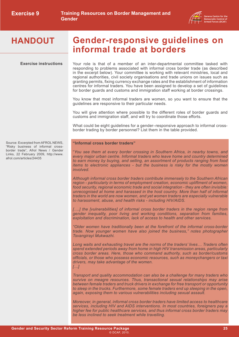**informal trade at borders**



### **HANDOUT**

Source: Excerpted from AFROL NEWS, "Risky business of informal crossborder trade", Afrol News / Gender Links, 22 February 2009, http://www.

afrol.com/articles/24435

#### **Exercise instructions**

Your role is that of a member of an inter-departmental committee tasked with responding to problems associated with informal cross border trade (as described in the excerpt below). Your committee is working with relevant ministries, local and regional authorities, civil society organisations and trade unions on issues such as granting permits, fixing currency exchange rates and the establishment of information centres for informal traders. You have been assigned to develop a set of guidelines for border guards and customs and immigration staff working at border crossings.

**Gender-responsive guidelines on** 

You know that most informal traders are women, so you want to ensure that the guidelines are responsive to their particular needs.

You will give attention where possible to the different roles of border guards and customs and immigration staff, and will try to coordinate those efforts.

What could be eight guidelines for a gender–responsive approach to informal crossborder trading by border personnel? List them in the table provided.

**"Informal cross border traders"** 

"*You see them at every border crossing in Southern Africa, in nearby towns, and every major urban centre. Informal traders who leave home and country determined to earn money by buying, and selling, an assortment of products ranging from food items to electronic appliances - but the business is risky for the mostly women involved.* 

*Although informal cross border traders contribute immensely to the Southern African region - particularly in terms of employment creation, economic upliftment of women, food security, regional economic trade and social integration - they are often invisible: unrecognised at home and harassed in the host country. More than half of informal traders in the world are now women, and yet women traders are especially vulnerable to harassment, abuse, and health risks - including HIV/AIDS.* 

[....] the [vulnerabilities] of informal cross border traders in the region range from *gender inequality, poor living and working conditions, separation from families, exploitation and discrimination, lack of access to health and other services.*

*"Older women have traditionally been at the forefront of the informal cross-border trade. Now younger women have also joined the business," notes photographer Tsvangirayi Mukwazhi.*

*Long waits and exhausting travel are the norms of the traders' lives… Traders often spend extended periods away from home in high HIV transmission areas, particularly cross border areas. Here, those who command authority, such as border/customs officials, or those who possess economic resources, such as moneychangers or taxi drivers, may take advantage of the women.* 

*[…]*

*Transport and quality accommodation can also be a challenge for many traders who survive on meagre resources. Thus, transactional sexual relationships may arise between female traders and truck drivers in exchange for free transport or opportunity to sleep in the trucks. Furthermore, some female traders end up sleeping in the open, again, exposing them to various vulnerabilities including sexual assault.*

*Moreover, in general, informal cross border traders have limited access to healthcare services, including HIV and AIDS interventions. In most countries, foreigners pay a higher fee for public healthcare services, and thus informal cross border traders may be less inclined to seek treatment while travelling.*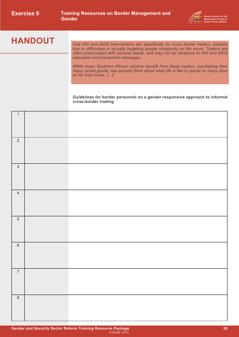

**HANDOUT** *Few HIV and AIDS interventions are specifically for cross border traders, partially due to difficulties in actually targeting people constantly on the move. Traders are often preoccupied with survival needs, and may not be receptive to HIV and AIDS education and prevention messages.*

> *While many Southern African citizens benefit from these traders, purchasing their many varied goods, few actually think about what life is like to spend so many days so far from home. […]*"

> **Guidelines for border personnel on a gender-responsive approach to informal cross-border trading**

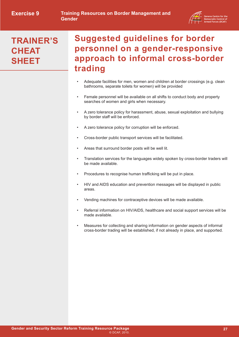

## **TRAINER'S CHEAT SHEET**

## **Suggested guidelines for border personnel on a gender-responsive approach to informal cross-border trading**

- Adequate facilities for men, women and children at border crossings (e.g. clean bathrooms, separate toilets for women) will be provided
- Female personnel will be available on all shifts to conduct body and property searches of women and girls when necessary.
- A zero tolerance policy for harassment, abuse, sexual exploitation and bullying by border staff will be enforced.
- A zero tolerance policy for corruption will be enforced.
- Cross-border public transport services will be facilitated.
- Areas that surround border posts will be well lit.
- Translation services for the languages widely spoken by cross-border traders will be made available.
- Procedures to recognise human trafficking will be put in place.
- HIV and AIDS education and prevention messages will be displayed in public areas.
- Vending machines for contraceptive devices will be made available.
- Referral information on HIV/AIDS, healthcare and social support services will be made available.
- Measures for collecting and sharing information on gender aspects of informal cross-border trading will be established, if not already in place, and supported.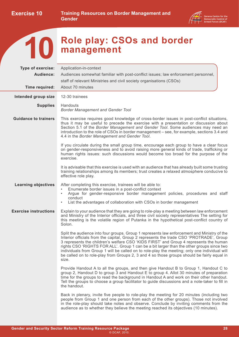

<span id="page-30-0"></span>

## **Role play: CSOs and border management**

| Type of exercise:            | Application-in-context                                                                                                                                                                                                                                                                                                                                                                                                                                                                                                                                                              |  |  |  |
|------------------------------|-------------------------------------------------------------------------------------------------------------------------------------------------------------------------------------------------------------------------------------------------------------------------------------------------------------------------------------------------------------------------------------------------------------------------------------------------------------------------------------------------------------------------------------------------------------------------------------|--|--|--|
| Audience:                    | Audiences somewhat familiar with post-conflict issues; law enforcement personnel,                                                                                                                                                                                                                                                                                                                                                                                                                                                                                                   |  |  |  |
|                              | staff of relevant Ministries and civil society organisations (CSOs)                                                                                                                                                                                                                                                                                                                                                                                                                                                                                                                 |  |  |  |
| Time required:               | About 70 minutes                                                                                                                                                                                                                                                                                                                                                                                                                                                                                                                                                                    |  |  |  |
| Intended group size          | 12-30 trainees                                                                                                                                                                                                                                                                                                                                                                                                                                                                                                                                                                      |  |  |  |
| <b>Supplies</b>              | Handouts<br><b>Border Management and Gender Tool</b>                                                                                                                                                                                                                                                                                                                                                                                                                                                                                                                                |  |  |  |
| <b>Guidance to trainers</b>  | This exercise requires good knowledge of cross-border issues in post-conflict situations,<br>thus it may be useful to precede the exercise with a presentation or discussion about<br>Section 5.1 of the Border Management and Gender Tool. Some audiences may need an<br>introduction to the role of CSOs in border management - see, for example, sections 3.4 and<br>4.4 in the Border Management and Gender Tool.                                                                                                                                                               |  |  |  |
|                              | If you circulate during the small group time, encourage each group to have a clear focus<br>on gender-responsiveness and to avoid raising more general kinds of trade, trafficking or<br>human rights issues: such discussions would become too broad for the purpose of the<br>exercise.                                                                                                                                                                                                                                                                                           |  |  |  |
|                              | It is advisable that this exercise is used with an audience that has already built some trusting<br>training relationships among its members; trust creates a relaxed atmosphere conducive to<br>effective role play.                                                                                                                                                                                                                                                                                                                                                               |  |  |  |
| <b>Learning objectives</b>   | After completing this exercise, trainees will be able to:<br>Enumerate border issues in a post-conflict context<br>Argue for gender-responsive border management policies, procedures and staff<br>conduct<br>List the advantages of collaboration with CSOs in border management<br>$\bullet$                                                                                                                                                                                                                                                                                      |  |  |  |
| <b>Exercise instructions</b> | Explain to your audience that they are going to role-play a meeting between law enforcement<br>and Ministry of the Interior officials, and three civil society representatives The setting for<br>this meeting is the volatile region of Putanka in the hypothetical post-conflict country of<br>Solon.                                                                                                                                                                                                                                                                             |  |  |  |
|                              | Split the audience into four groups. Group 1 represents law enforcement and Ministry of the<br>Interior officials from the capital, Group 2 represents the trade CSO 'PROTRADE', Group<br>3 represents the children's welfare CSO 'KIDS FIRST' and Group 4 represents the human<br>rights CSO 'RIGHTS FOR ALL'. Group 1 can be a bit larger than the other groups since two<br>individuals from Group 1 will be called on to role-play the meeting; only one individual will<br>be called on to role-play from Groups 2, 3 and 4 so those groups should be fairly equal in<br>size. |  |  |  |
|                              | Provide Handout A to all the groups, and then give Handout B to Group 1, Handout C to<br>group 2, Handout D to group 3 and Handout E to group 4. Allot 30 minutes of preparation<br>time for the groups to read the background in Handout A and work on their other handout.<br>Tell the groups to choose a group facilitator to guide discussions and a note-taker to fill in<br>the handout.                                                                                                                                                                                      |  |  |  |
|                              | Back in plenary, invite five people to role-play the meeting for 20 minutes (including two<br>people from Group 1 and one person from each of the other groups). Those not involved<br>in the role-play should take notes and observe. Conclude by inviting comments from the<br>audience as to whether they believe the meeting reached its objectives (10 minutes).                                                                                                                                                                                                               |  |  |  |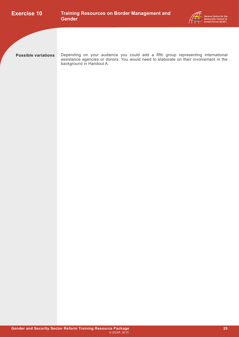



**Possible variations**

Depending on your audience you could add a fifth group representing international assistance agencies or donors. You would need to elaborate on their involvement in the background in Handout A.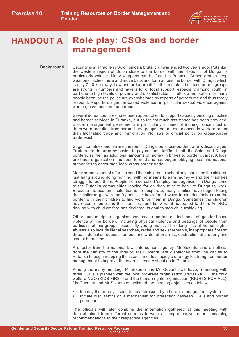

#### **HANDOUT A Role play: CSOs and border management**

**Background**

Security is still fragile in Solon since a brutal civil war ended two years ago. Putanka, the western region of Solon close to the border with the Republic of Dunga, is particularly volatile. Many weapons can be found in Putanka. Armed groups keep weapons caches there and move back and forth across the border with Dunga, which is only 7-10 km away. Law and order are difficult to maintain because armed groups are strong in numbers and have a lot of local support, especially among youth, in part due to high levels of poverty and dissatisfaction. Theft is a temptation for many people because the police are overwhelmed by reports of petty crime and thus rarely respond. Reports on gender-based violence, in particular sexual violence against women, have become numerous.

Several donor countries have been approached to support capacity building of police and border services in Putanka, but so far not much assistance has been provided. Border management personnel are particularly in need of training, since most of them were recruited from paramilitary groups and are experienced in warfare rather than facilitating trade and immigration. No laws or official policy on cross-border trade exist.

Sugar, tomatoes and tea are cheaper in Dunga, but cross-border trade is discouraged. Traders are deterred by having to pay customs tariffs at both the Solon and Dunga borders, as well as additional amounts of money in bribes to border guards. A local pro-trade organisation has been formed and has begun lobbying local and national authorities to encourage legal cross-border trade.

Many parents cannot afford to send their children to school any more – so the children just hang around doing nothing, with no means to earn money – and their families struggle to feed them. People from so-called 'employment agencies' in Dunga come to the Putanka communities looking for children to take back to Dunga to work. Because the economic situation is so desperate, many families have begun letting their children go with the 'agents', or have found ways to clandestinely cross the border with their children to find work for them in Dunga. Sometimes the children never come home and their families don't know what happened to them. An NGO dealing with child welfare has declared its goal to stop child trafficking.

Other human rights organisations have reported on incidents of gender-based violence at the borders, including physical violence and beatings of people from particular ethnic groups, especially young males. Their long lists of human rights abuses also include illegal searches, racist and sexist remarks, inappropriate firearm threats, denial of requests for food and water after arrest, destruction of property and sexual harassment.

A director from the national law enforcement agency, Mr Solonto, and an official from the Ministry of the Interior, Ms Guventa, are dispatched from the capital to Putanka to begin mapping the issues and developing a strategy to strengthen border management to improve the overall security situation in Putanka.

Among the many meetings Mr Solonto and Ms Guventa will have, a meeting with three CSOs is planned with the local pro-trade organisation (PROTRADE), the child welfare NGO (KIDS FIRST) and the human rights organisation (RIGHTS FOR ALL). Ms Guventa and Mr Solonto established the meeting objectives as follows:

- Identify the priority issues to be addressed by a border management system
- Initiate discussions on a mechanism for interaction between CSOs and border personnel

The officials will later combine the information gathered at this meeting with data obtained from different sources to write a comprehensive report containing recommendations to their respective agencies.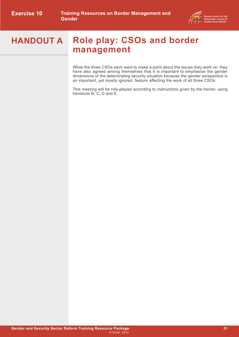

#### **HANDOUT A Role play: CSOs and border management**

While the three CSOs each want to make a point about the issues they work on, they have also agreed among themselves that it is important to emphasise the gender dimensions of the deteriorating security situation because the gender perspective is an important, yet mostly ignored, feature affecting the work of all three CSOs.

This meeting will be role-played according to instructions given by the trainer, using handouts B, C, D and E.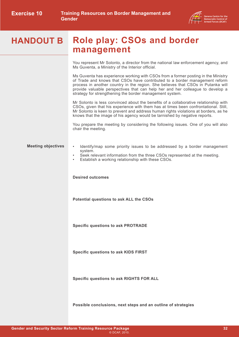

#### **HANDOUT B Role play: CSOs and border management**

You represent Mr Solonto, a director from the national law enforcement agency, and Ms Guventa, a Ministry of the Interior official.

Ms Guventa has experience working with CSOs from a former posting in the Ministry of Trade and knows that CSOs have contributed to a border management reform process in another country in the region. She believes that CSOs in Putanka will provide valuable perspectives that can help her and her colleague to develop a strategy for strengthening the border management system.

Mr Solonto is less convinced about the benefits of a collaborative relationship with CSOs, given that his experience with them has at times been confrontational. Still, Mr Solonto is keen to prevent and address human rights violations at borders, as he knows that the image of his agency would be tarnished by negative reports.

You prepare the meeting by considering the following issues. One of you will also chair the meeting.

#### **Meeting objectives** • Identify/map some priority issues to be addressed by a border management system.

- Seek relevant information from the three CSOs represented at the meeting.
- Establish a working relationship with these CSOs.

**Desired outcomes**

**Potential questions to ask ALL the CSOs**

**Specific questions to ask PROTRADE**

**Specific questions to ask KIDS FIRST**

**Specific questions to ask RIGHTS FOR ALL**

**Possible conclusions, next steps and an outline of strategies**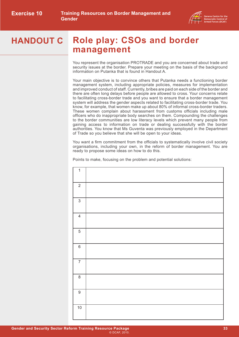

#### **HANDOUT C Role play: CSOs and border management**

You represent the organisation PROTRADE and you are concerned about trade and security issues at the border. Prepare your meeting on the basis of the background information on Putanka that is found in Handout A.

Your main objective is to convince others that Putanka needs a functioning border management system, including appropriate policies, measures for implementation and improved conduct of staff. Currently, bribes are paid on each side of the border and there are often long delays before people are allowed to cross. Your concerns relate to facilitating cross-border trade and you want to ensure that a border management system will address the gender aspects related to facilitating cross-border trade. You know, for example, that women make up about 80% of informal cross-border traders. These women complain about harassment from customs officials including male officers who do inappropriate body searches on them. Compounding the challenges to the border communities are low literacy levels which prevent many people from gaining access to information on trade or dealing successfully with the border authorities. You know that Ms Guventa was previously employed in the Department of Trade so you believe that she will be open to your ideas.

You want a firm commitment from the officials to systematically involve civil society organisations, including your own, in the reform of border management. You are ready to propose some ideas on how to do this.

Points to make, focusing on the problem and potential solutions:

| $\overline{1}$            |  |
|---------------------------|--|
| $\sqrt{2}$                |  |
| $\ensuremath{\mathsf{3}}$ |  |
| $\overline{4}$            |  |
| 5                         |  |
| $\,6\,$                   |  |
| $\overline{7}$            |  |
| $\bf 8$                   |  |
| $\boldsymbol{9}$          |  |
| $10$                      |  |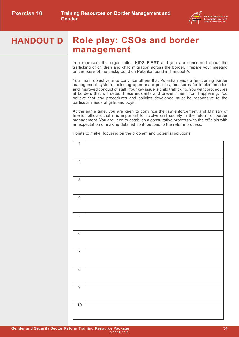

#### **HANDOUT D Role play: CSOs and border management**

You represent the organisation KIDS FIRST and you are concerned about the trafficking of children and child migration across the border. Prepare your meeting on the basis of the background on Putanka found in Handout A.

Your main objective is to convince others that Putanka needs a functioning border management system, including appropriate policies, measures for implementation and improved conduct of staff. Your key issue is child trafficking. You want procedures at borders that will detect these incidents and prevent them from happening. You believe that any procedures and policies developed must be responsive to the particular needs of girls and boys.

At the same time, you are keen to convince the law enforcement and Ministry of Interior officials that it is important to involve civil society in the reform of border management. You are keen to establish a consultative process with the officials with an expectation of making detailed contributions to the reform process.

Points to make, focusing on the problem and potential solutions:

| $\mathbf{1}$             |  |
|--------------------------|--|
| $\sqrt{2}$               |  |
| $\overline{3}$           |  |
| $\overline{4}$           |  |
| $\,$ 5 $\,$              |  |
| $\,6$                    |  |
| $\overline{\mathcal{I}}$ |  |
| $\,8\,$                  |  |
| $\boldsymbol{9}$         |  |
| $10\,$                   |  |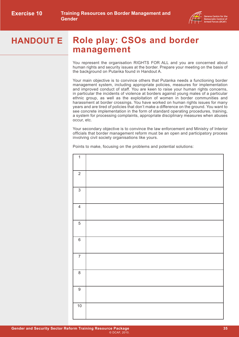

#### **HANDOUT E Role play: CSOs and border management**

You represent the organisation RIGHTS FOR ALL and you are concerned about human rights and security issues at the border. Prepare your meeting on the basis of the background on Putanka found in Handout A.

Your main objective is to convince others that Putanka needs a functioning border management system, including appropriate policies, measures for implementation and improved conduct of staff. You are keen to raise your human rights concerns, in particular the incidents of violence at borders against young males of a particular ethnic group, as well as the exploitation of women in border communities and harassment at border crossings. You have worked on human rights issues for many years and are tired of policies that don't make a difference on the ground. You want to see concrete implementation in the form of standard operating procedures, training, a system for processing complaints, appropriate disciplinary measures when abuses occur, etc.

Your secondary objective is to convince the law enforcement and Ministry of Interior officials that border management reform must be an open and participatory process involving civil society organisations like yours.

Points to make, focusing on the problems and potential solutions:

| $\overline{1}$          |  |
|-------------------------|--|
| $\sqrt{2}$              |  |
| $\sqrt{3}$              |  |
| $\overline{\mathbf{4}}$ |  |
| $\sqrt{5}$              |  |
| $\,6\,$                 |  |
| $\overline{7}$          |  |
| $\,8\,$                 |  |
| $\boldsymbol{9}$        |  |
| $10$                    |  |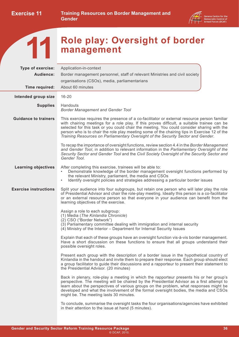

<span id="page-38-0"></span>**11**

## **Role play: Oversight of border management**

| Type of exercise:            | Application-in-context                                                                                                                                                                                                                                                                                                                                                                                                                                                        |
|------------------------------|-------------------------------------------------------------------------------------------------------------------------------------------------------------------------------------------------------------------------------------------------------------------------------------------------------------------------------------------------------------------------------------------------------------------------------------------------------------------------------|
| Audience:                    | Border management personnel, staff of relevant Ministries and civil society                                                                                                                                                                                                                                                                                                                                                                                                   |
|                              | organisations (CSOs), media, parliamentarians                                                                                                                                                                                                                                                                                                                                                                                                                                 |
| Time required:               | About 60 minutes                                                                                                                                                                                                                                                                                                                                                                                                                                                              |
| Intended group size          | $16 - 20$                                                                                                                                                                                                                                                                                                                                                                                                                                                                     |
| <b>Supplies</b>              | Handouts<br><b>Border Management and Gender Tool</b>                                                                                                                                                                                                                                                                                                                                                                                                                          |
| <b>Guidance to trainers</b>  | This exercise requires the presence of a co-facilitator or external resource person familiar<br>with chairing meetings for a role play. If this proves difficult, a suitable trainee can be<br>selected for this task or you could chair the meeting. You could consider sharing with the<br>person who is to chair the role play meeting some of the chairing tips in Exercise 12 of the<br>Training Resources on Parliamentary Oversight of the Security Sector and Gender. |
|                              | To recap the importance of oversight functions, review section 4.4 in the Border Management<br>and Gender Tool, in addition to relevant information in the Parliamentary Oversight of the<br>Security Sector and Gender Tool and the Civil Society Oversight of the Security Sector and<br>Gender Tool.                                                                                                                                                                       |
| <b>Learning objectives</b>   | After completing this exercise, trainees will be able to:<br>Demonstrate knowledge of the border management oversight functions performed by<br>the relevant Ministry, parliament, the media and CSOs<br>Identify oversight policies and strategies addressing a particular border issues<br>$\bullet$                                                                                                                                                                        |
| <b>Exercise instructions</b> | Split your audience into four subgroups, but retain one person who will later play the role<br>of Presidential Advisor and chair the role-play meeting. Ideally this person is a co-facilitator<br>or an external resource person so that everyone in your audience can benefit from the<br>learning objectives of the exercise.                                                                                                                                              |
|                              | Assign a role to each subgroup:<br>(1) Media (The Kinlandia Chronicle)<br>(2) CSO ("Border Network")<br>(3) Parliamentary committee dealing with immigration and internal security<br>(4) Ministry of the Interior - Department for Internal Security Issues                                                                                                                                                                                                                  |
|                              | Explain that each of these groups have an oversight function vis-à-vis border management.<br>Have a short discussion on these functions to ensure that all groups understand their<br>possible oversight roles.                                                                                                                                                                                                                                                               |
|                              | Present each group with the description of a border issue in the hypothetical country of<br>Kinlandia in the handout and invite them to prepare their response. Each group should elect<br>a group facilitator to guide their discussions and a rapporteur to present their statement to<br>the Presidential Advisor. (20 minutes)                                                                                                                                            |
|                              | Back in plenary, role-play a meeting in which the rapporteur presents his or her group's<br>perspective. The meeting will be chaired by the Presidential Advisor as a first attempt to<br>learn about the perspectives of various groups on the problem, what responses might be<br>developed and what the involvement of the formal oversight bodies, the media and CSOs<br>might be. The meeting lasts 30 minutes.                                                          |
|                              | To conclude, summarise the oversight tasks the four organisations/agencies have exhibited<br>in their attention to the issue at hand (5 minutes).                                                                                                                                                                                                                                                                                                                             |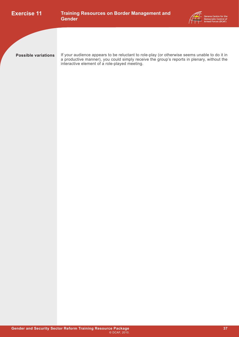



**Possible variations**

If your audience appears to be reluctant to role-play (or otherwise seems unable to do it in a productive manner), you could simply receive the group's reports in plenary, without the interactive element of a role-played meeting.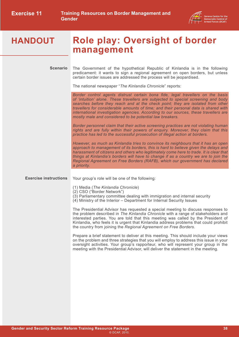

## **HANDOUT**

## **Role play: Oversight of border management**

| <b>Scenario</b>              | The Government of the hypothetical Republic of Kinlandia is in the following<br>predicament: it wants to sign a regional agreement on open borders, but unless<br>certain border issues are addressed the process will be jeopardised.                                                                                                                                                                                                                                                              |
|------------------------------|-----------------------------------------------------------------------------------------------------------------------------------------------------------------------------------------------------------------------------------------------------------------------------------------------------------------------------------------------------------------------------------------------------------------------------------------------------------------------------------------------------|
|                              | The national newspaper "The Kinlandia Chronicle" reports:                                                                                                                                                                                                                                                                                                                                                                                                                                           |
|                              | Border control agents distrust certain bona fide, legal travellers on the basis<br>of 'intuition' alone. These travellers are subjected to special screening and body<br>searches before they reach and at the check point; they are isolated from other<br>travellers for considerable amounts of time; and their personal data is shared with<br>international investigation agencies. According to our sources, these travellers are<br>mostly male and considered to be potential law breakers. |
|                              | Border personnel claim that their active screening practices are not violating human<br>rights and are fully within their powers of enquiry. Moreover, they claim that this<br>practice has led to the successful prosecution of illegal action at borders.                                                                                                                                                                                                                                         |
|                              | However, as much as Kinlandia tries to convince its neighbours that it has an open<br>approach to management of its borders, this is hard to believe given the delays and<br>harassment of citizens and others who legitimately come here to trade. It is clear that<br>things at Kinlandia's borders will have to change if as a country we are to join the<br>Regional Agreement on Free Borders (RAFB), which our government has declared<br>a priority.                                         |
| <b>Exercise instructions</b> | Your group's role will be one of the following:                                                                                                                                                                                                                                                                                                                                                                                                                                                     |
|                              | (1) Media (The Kinlandia Chronicle)<br>(2) CSO ("Border Network")<br>(3) Parliamentary committee dealing with immigration and internal security<br>(4) Ministry of the Interior - Department for Internal Security Issues                                                                                                                                                                                                                                                                           |
|                              | The Presidential Advisor has requested a special meeting to discuss responses to<br>the problem described in The Kinlandia Chronicle with a range of stakeholders and<br>interested parties. You are told that this meeting was called by the President of<br>Kinlandia, who feels it is urgent that Kinlandia address problems that could prohibit<br>the country from joining the Regional Agreement on Free Borders.                                                                             |
|                              | Prepare a brief statement to deliver at this meeting. This should include your views<br>on the problem and three strategies that you will employ to address this issue in your<br>oversight activities. Your group's rapporteur, who will represent your group in the<br>meeting with the Presidential Advisor, will deliver the statement in the meeting.                                                                                                                                          |
|                              |                                                                                                                                                                                                                                                                                                                                                                                                                                                                                                     |
|                              |                                                                                                                                                                                                                                                                                                                                                                                                                                                                                                     |
|                              |                                                                                                                                                                                                                                                                                                                                                                                                                                                                                                     |
|                              |                                                                                                                                                                                                                                                                                                                                                                                                                                                                                                     |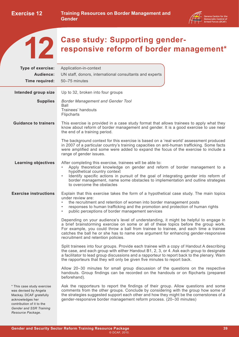

<span id="page-41-0"></span>

**Case study: Supporting genderresponsive reform of border management\*** 

| Type of exercise:                                                                                                                                                               | Application-in-context                                                                                                                                                                                                                                                                                                                                                                              |
|---------------------------------------------------------------------------------------------------------------------------------------------------------------------------------|-----------------------------------------------------------------------------------------------------------------------------------------------------------------------------------------------------------------------------------------------------------------------------------------------------------------------------------------------------------------------------------------------------|
| Audience:                                                                                                                                                                       | UN staff, donors, international consultants and experts                                                                                                                                                                                                                                                                                                                                             |
| Time required:                                                                                                                                                                  | 50-75 minutes                                                                                                                                                                                                                                                                                                                                                                                       |
|                                                                                                                                                                                 |                                                                                                                                                                                                                                                                                                                                                                                                     |
| Intended group size                                                                                                                                                             | Up to 32, broken into four groups                                                                                                                                                                                                                                                                                                                                                                   |
| <b>Supplies</b>                                                                                                                                                                 | <b>Border Management and Gender Tool</b>                                                                                                                                                                                                                                                                                                                                                            |
|                                                                                                                                                                                 | Ball<br>Trainees' handouts<br>Flipcharts                                                                                                                                                                                                                                                                                                                                                            |
| <b>Guidance to trainers</b>                                                                                                                                                     | This exercise is provided in a case study format that allows trainees to apply what they<br>know about reform of border management and gender. It is a good exercise to use near<br>the end of a training period.                                                                                                                                                                                   |
|                                                                                                                                                                                 | The background context for this exercise is based on a 'real world' assessment produced<br>in 2007 of a particular country's training capacities on anti-human trafficking. Some facts<br>were amplified and some were added to expand the focus of the exercise to include a<br>range of gender issues.                                                                                            |
| <b>Learning objectives</b>                                                                                                                                                      | After completing this exercise, trainees will be able to:<br>Apply theoretical knowledge on gender and reform of border management to a<br>$\bullet$<br>hypothetical country context<br>Identify specific actions in pursuit of the goal of integrating gender into reform of<br>border management, name some obstacles to implementation and outline strategies<br>to overcome the obstacles       |
| <b>Exercise instructions</b>                                                                                                                                                    | Explain that this exercise takes the form of a hypothetical case study. The main topics<br>under review are:<br>the recruitment and retention of women into border management posts<br>responses to human trafficking and the promotion and protection of human rights<br>public perceptions of border management services<br>$\bullet$                                                             |
|                                                                                                                                                                                 | Depending on your audience's level of understanding, it might be helpful to engage in<br>a brief brainstorming exercise on some or all of these topics before the group work.<br>For example, you could throw a ball from trainee to trainee, and each time a trainee<br>catches the ball he or she has to name one argument for enhancing gender-responsive<br>recruitment and retention policies. |
|                                                                                                                                                                                 | Split trainees into four groups. Provide each trainee with a copy of Handout A describing<br>the case, and each group with either Handout B1, 2, 3, or 4. Ask each group to designate<br>a facilitator to lead group discussions and a rapporteur to report back to the plenary. Warn<br>the rapporteurs that they will only be given five minutes to report back.                                  |
|                                                                                                                                                                                 | Allow 20–30 minutes for small group discussion of the questions on the respective<br>handouts. Group findings can be recorded on the handouts or on flipcharts (prepared<br>beforehand).                                                                                                                                                                                                            |
| * This case study exercise<br>was devised by Angela<br>Mackay. DCAF gratefully<br>acknowledges her<br>contribution of it to the<br>Gender and SSR Training<br>Resource Package. | Ask the rapporteurs to report the findings of their group. Allow questions and some<br>comments from the other groups. Conclude by considering with the group how some of<br>the strategies suggested support each other and how they might be the cornerstones of a<br>gender-responsive border management reform process. (20-30 minutes)                                                         |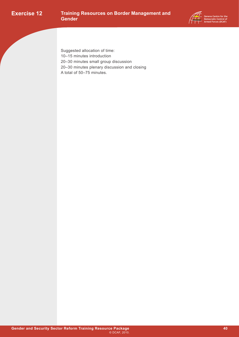

Suggested allocation of time: 10–15 minutes introduction 20–30 minutes small group discussion 20–30 minutes plenary discussion and closing A total of 50–75 minutes.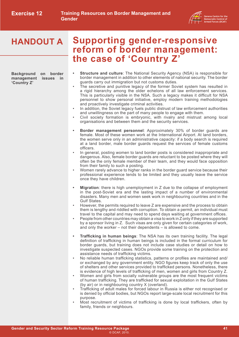**the case of 'Country Z'**



## **HANDOUT A**

**Background on border management issues in 'Country Z'**

**Structure and culture:** The National Security Agency (NSA) is responsible for border management in addition to other elements of national security. The border guards carry out immigration but not customs duties.

**Supporting gender-responsive** 

**reform of border management:** 

- The secretive and punitive legacy of the former Soviet system has resulted in a rigid hierarchy among the older echelons of all law enforcement services. This is particularly visible in the NSA. Such a legacy makes it difficult for NSA personnel to show personal initiative, employ modern training methodologies and proactively investigate criminal activities.
- In addition, the Soviet legacy fuels public distrust of law enforcement authorities and unwillingness on the part of many people to engage with them.
- Civil society formation is embryonic, with rivalry and mistrust among local organisations and between them and the security services.
- **Border management personnel:** Approximately 30% of border guards are female. Most of these women work at the International Airport. At land borders, the women serve only in an administrative capacity: if a body search is required at a land border, male border guards request the services of female customs officers.
- In general, posting women to land border posts is considered inappropriate and dangerous. Also, female border guards are reluctant to be posted where they will often be the only female member of their team, and they would face opposition from their family to such a posting.
- Women rarely advance to higher ranks in the border guard service because their professional experience tends to be limited and they usually leave the service once they have children.
- **Migration**: there is high unemployment in Z due to the collapse of employment in the post-Soviet era and the lasting impact of a number of environmental disasters. Many men and women seek work in neighbouring countries and in the Gulf States.
- However, the permits required to leave Z are expensive and the process to obtain them is lengthy and riddled with corruption. To obtain a permit, an individual must travel to the capital and may need to spend days waiting at government offices.
- People from other countries may obtain a visa to work in Z only if they are supported by a sponsor living in Z. Such visas are only given for certain categories of work, and only the worker – not their dependents – is allowed to come.
- **• Trafficking in human beings**: The NSA has its own training facility. The legal definition of trafficking in human beings is included in the formal curriculum for border guards, but training does not include case studies or detail on how to investigate suspected cases. NGOs provide some training on the protection and assistance needs of trafficking victims.
- No reliable human trafficking statistics, patterns or profiles are maintained and/ or exchanged by any government entity. NGO figures keep track of only the use of shelters and other services provided to trafficked persons. Nonetheless, there is evidence of high levels of trafficking of men, women and girls from Country Z.
- Women and girls from socially vulnerable groups are the most frequent victims of human trafficking. They are trafficked for sexual exploitation in the Gulf States (by air) or in neighbouring country X (overland).
- Trafficking of adult males for forced labour in Russia is either not recognised or is denied by official bodies, but NGOs report large-scale local recruitment for this purpose.
- Most recruitment of victims of trafficking is done by local traffickers, often by family, friends or neighbours.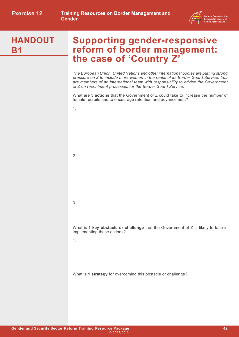

### **Supporting gender-responsive reform of border management: the case of 'Country Z'**

*The European Union, United Nations and other international bodies are putting strong pressure on Z to include more women in the ranks of its Border Guard Service. You are members of an international team with responsibility to advise the Government of Z on recruitment processes for the Border Guard Service.*

What are 3 **actions** that the Government of Z could take to increase the number of female recruits and to encourage retention and advancement?

1.

2.

3.

What is **1 key obstacle or challenge** that the Government of Z is likely to face in implementing these actions?

1.

What is **1 strategy** for overcoming this obstacle or challenge?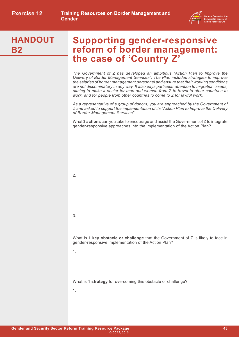

### **Supporting gender-responsive reform of border management: the case of 'Country Z'**

*The Government of Z has developed an ambitious "Action Plan to Improve the Delivery of Border Management Services". The Plan includes strategies to improve the salaries of border management personnel and ensure that their working conditions are not discriminatory in any way. It also pays particular attention to migration issues, aiming to make it easier for men and women from Z to travel to other countries to work, and for people from other countries to come to Z for lawful work.*

*As a representative of a group of donors, you are approached by the Government of Z and asked to support the implementation of its "Action Plan to Improve the Delivery of Border Management Services".*

What **3 actions** can you take to encourage and assist the Government of Z to integrate gender-responsive approaches into the implementation of the Action Plan?

1.

2.

3.

What is **1 key obstacle or challenge** that the Government of Z is likely to face in gender-responsive implementation of the Action Plan?

1.

What is **1 strategy** for overcoming this obstacle or challenge?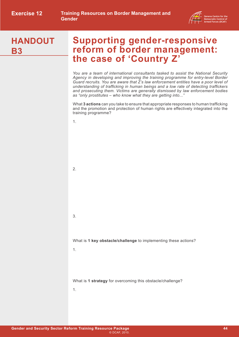

### **Supporting gender-responsive reform of border management: the case of 'Country Z'**

*You are a team of international consultants tasked to assist the National Security Agency in developing and improving the training programme for entry-level Border Guard recruits. You are aware that Z's law enforcement entities have a poor level of understanding of trafficking in human beings and a low rate of detecting traffickers and prosecuting them. Victims are generally dismissed by law enforcement bodies as "only prostitutes – who know what they are getting into..."*

What **3 actions** can you take to ensure that appropriate responses to human trafficking and the promotion and protection of human rights are effectively integrated into the training programme?

1.

2.

What is **1 key obstacle/challenge** to implementing these actions?

1.

3.

What is **1 strategy** for overcoming this obstacle/challenge?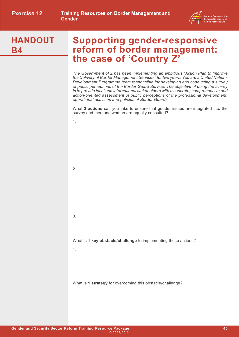

### **Supporting gender-responsive reform of border management: the case of 'Country Z'**

*The Government of Z has been implementing an ambitious "Action Plan to Improve the Delivery of Border Management Services" for two years. You are a United Nations Development Programme team responsible for developing and conducting a survey of public perceptions of the Border Guard Service. The objective of doing the survey is to provide local and international stakeholders with a concrete, comprehensive and action-oriented assessment of public perceptions of the professional development, operational activities and policies of Border Guards.*

What **3 actions** can you take to ensure that gender issues are integrated into the survey and men and women are equally consulted?

1.

2.

What is **1 key obstacle/challenge** to implementing these actions?

1.

3.

What is **1 strategy** for overcoming this obstacle/challenge?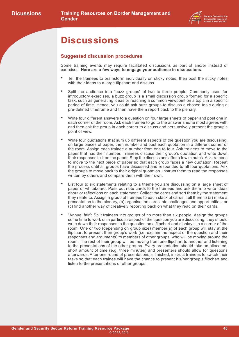

## <span id="page-48-0"></span>**Discussions**

#### **Suggested discussion procedures**

Some training events may require facilitated discussions as part of and/or instead of exercises. **Here are a few ways to engage your audience in discussions**.

- Tell the trainees to brainstorm individually on sticky notes, then post the sticky notes with their ideas to a large flipchart and discuss.
- Split the audience into "buzz groups" of two to three people. Commonly used for introductory exercises, a buzz group is a small discussion group formed for a specific task, such as generating ideas or reaching a common viewpoint on a topic in a specific period of time. Hence, you could ask buzz groups to discuss a chosen topic during a pre-defined timeframe and then have them report back to the plenary.
- Write four different answers to a question on four large sheets of paper and post one in each corner of the room. Ask each trainee to go to the answer she/he most agrees with and then ask the group in each corner to discuss and persuasively present the group's point of view.
- Write four quotations that sum up different aspects of the question you are discussing, on large pieces of paper, then number and post each quotation in a different corner of the room. Assign each trainee a number from one to four. Ask trainees to move to the paper that has their number. Trainees discuss their group's quotation and write down their responses to it on the paper. Stop the discussions after a few minutes. Ask trainees to move to the next piece of paper so that each group faces a new quotation. Repeat the process until all groups have discussed and responded to all four quotations. Ask the groups to move back to their original quotation. Instruct them to read the responses written by others and compare them with their own.
- List four to six statements relating to a theme you are discussing on a large sheet of paper or whiteboard. Pass out note cards to the trainees and ask them to write ideas about or reflections on each statement. Collect the cards and sort them by the statement they relate to. Assign a group of trainees to each stack of cards. Tell them to (a) make a presentation to the plenary, (b) organise the cards into challenges and opportunities, or (c) find another way of creatively reporting back on what they read on their cards.
- "Annual fair": Split trainees into groups of no more than six people. Assign the groups some time to work on a particular aspect of the question you are discussing: they should write down their responses to the question on a flipchart and display it in a corner of the room. One or two (depending on group size) member(s) of each group will stay at the flipchart to present their group's work (i.e. explain the aspect of the question and their responses and arguments) to members of other groups, who will be moving around the room. The rest of their group will be moving from one flipchart to another and listening to the presentations of the other groups. Every presentation should take an allocated, short amount of time (e.g. three minutes) and presenters should allow for questions afterwards. After one round of presentations is finished, instruct trainees to switch their tasks so that each trainee will have the chance to present his/her group's flipchart and listen to the presentations of other groups.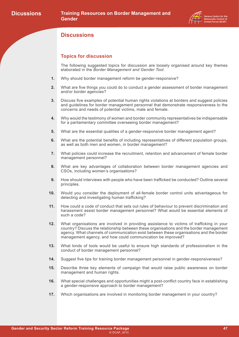

#### **Discussions**

#### **Topics for discussion**

The following suggested topics for discussion are loosely organised around key themes elaborated in the *[Border Management and Gender Tool.](http://www.dcaf.ch/publications/kms/details.cfm?lng=en&id=47401&nav1=5)*

- **1.** Why should border management reform be gender-responsive?
- **2.** What are five things you could do to conduct a gender assessment of border management and/or border agencies?
- **3.** Discuss five examples of potential human rights violations at borders and suggest policies and guidelines for border management personnel that demonstrate responsiveness to the concerns and needs of potential victims, male and female.
- **4.** Why would the testimony of women and border community representatives be indispensable for a parliamentary committee overseeing border management?
- **5.** What are the essential qualities of a gender-responsive border management agent?
- **6.** What are the potential benefits of including representatives of different population groups, as well as both men and women, in border management?
- **7.** What policies could increase the recruitment, retention and advancement of female border management personnel?
- **8.** What are key advantages of collaboration between border management agencies and CSOs, including women's organisations?
- **9.** How should interviews with people who have been trafficked be conducted? Outline several principles.
- **10.** Would you consider the deployment of all-female border control units advantageous for detecting and investigating human trafficking?
- **11.** How could a code of conduct that sets out rules of behaviour to prevent discrimination and harassment assist border management personnel? What would be essential elements of such a code?
- **12.** What organisations are involved in providing assistance to victims of trafficking in your country? Discuss the relationship between these organisations and the border management agency. What channels of communication exist between these organisations and the border management agency, and how could communication be improved?
- **13.** What kinds of tools would be useful to ensure high standards of professionalism in the conduct of border management personnel?
- **14.** Suggest five tips for training border management personnel in gender-responsiveness?
- **15.** Describe three key elements of campaign that would raise public awareness on border management and human rights.
- **16.** What special challenges and opportunities might a post-conflict country face in establishing a gender-responsive approach to border management?
- **17.** Which organisations are involved in monitoring border management in your country?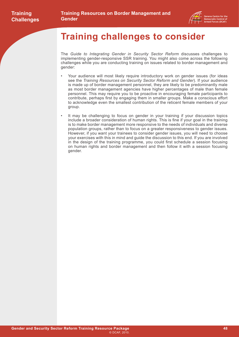

## <span id="page-50-0"></span>**Training challenges to consider**

The *[Guide to Integrating Gender in Security Sector Reform](http://www.dcaf.ch/publications/kms/details.cfm?lng=en&id=100128&nav1=5)* discusses challenges to implementing gender-responsive SSR training. You might also come across the following challenges while you are conducting training on issues related to border management and gender:

- Your audience will most likely require introductory work on gender issues (for ideas see the *[Training Resources on Security Sector Reform and Gender](http://www.dcaf.ch/publications/kms/details.cfm?lng=en&id=100131&nav1=5)*). If your audience is made up of border management personnel, they are likely to be predominantly male as most border management agencies have higher percentages of male than female personnel. This may require you to be proactive in encouraging female participants to contribute, perhaps first by engaging them in smaller groups. Make a conscious effort to acknowledge even the smallest contribution of the reticent female members of your group.
- It may be challenging to focus on gender in your training if your discussion topics include a broader consideration of human rights. This is fine if your goal in the training is to make border management more responsive to the needs of individuals and diverse population groups, rather than to focus on a greater responsiveness to gender issues. However, if you want your trainees to consider gender issues, you will need to choose your exercises with this in mind and guide the discussion to this end. If you are involved in the design of the training programme, you could first schedule a session focusing on human rights and border management and then follow it with a session focusing gender.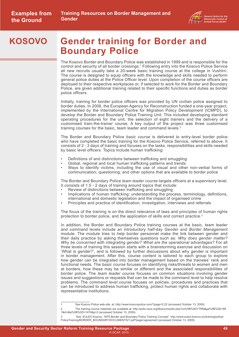

#### <span id="page-51-0"></span>**Gender training for Border and Boundary Police KOSOVO**

The Kosovo Border and Boundary Police was established in 1999 and is responsible for the control and security of all border crossings.1 Following entry into the Kosovo Police Service all new recruits usually take a 20-week basic training course at the college in Vushtrri. The course is designed to equip officers with the knowledge and skills needed to perform general police duties at the Police Officer level. Upon completion of the course officers are deployed to their respective workplaces or, if selected to work for the Border and Boundary Police, are given additional training related to their specific functions and duties as border police officers.

Initially, training for border police officers was provided by UN civilian police assigned to border duties. In 2006, the European Agency for Reconstruction funded a one-year project, implemented by the International Centre for Migration Policy Development (ICMPD), to develop the Border and Boundary Police Training Unit. This included developing standard operating procedures for the unit, the selection of eight trainers and the delivery of a customised train-the-trainer course. A key output of the project was three customised training courses for the basic, team leader and command levels.2

The Border and Boundary Police *basic course* is delivered to entry-level border police who have completed the basic training for the Kosovo Police Service, referred to above. It consists of 2 - 3 days of training and focuses on the tasks, responsibilities and skills needed by basic level officers. Topics include human trafficking:

- Definitions of and distinctions between trafficking and smuggling
- Global, regional and local human trafficking patterns and trends
- Ways to identify victims, including the use of visual and other non-verbal forms of communication; questioning; and other options that are available to border police

The Border and Boundary Police *team leader course* targets officers at a supervisory level. It consists of 1.5 - 2 days of training around topics that include:

- Review of distinctions between trafficking and smuggling
- Implications of human trafficking: understanding the process, terminology, definitions, international and domestic legislation and the impact of organised crime
- Principles and practice of identification, investigation, interviews and referrals

The focus of the training is on the direct relevance of laws and principles of human rights protection to border police, and the application of skills and correct practice.<sup>3</sup>

In addition, the Border and Boundary Police training courses at the basic, team leader and command levels include an introductory half-day *Gender and Border Management*  module. The module tries to help border personnel make the link between gender and their daily practice by asking themselves questions such as: *Why does gender matter? Why be concerned with integrating gender? What are the operational advantages?* For all three levels of training this session starts with a brainstorming exercise and discussion on 'What is gender?', and is followed by further discussions about why gender is important in border management. After this, course content is tailored to each group to explore how gender can be integrated into border management based on the trainees' rank and functional needs. The *basic course* focuses on identifying risks/threats to women and men at borders, how these may be similar or different and the associated responsibilities of border police. The *team leader course* focuses on common situations involving gender issues and suggestions or requests that can be made to the command level to help resolve problems. The *command level course* focuses on policies, procedures and practices that can be introduced to address human trafficking, protect human rights and collaborate with representative institutions.

<sup>1</sup> See Kosovo Police web-site, at: http://www.kosovopolice.com/?page=2,22 (accessed October 13, 2009).

<sup>2</sup> The training course materials are available at: [http://polis.osce.org/library/results.php?ca%5B%5D=TRN&ga%5B%5D=88](http://polis.osce.org/library/results.php?ca%5B%5D=TRN&ga%5B%5D=881&d=&ta%5B%5D=1474&p=3) [1&d=&ta%5B%5D=1474&p=](http://polis.osce.org/library/results.php?ca%5B%5D=TRN&ga%5B%5D=881&d=&ta%5B%5D=1474&p=3)3 (accessed October 13, 2009).

<sup>3</sup> See: EULEX Kosovo, "KPS Border and Boundary Police Training Concept", [http://www.eulex-kosovo.eu/training/police/](http://www.eulex-kosovo.eu/training/police/PoliceTraining/BORDER_BOUNDARY/DOCUMENTS/7.pdf?page=agreement ) [PoliceTraining/BORDER\\_BOUNDARY/DOCUMENTS/7.pdf?page=agreemen](http://www.eulex-kosovo.eu/training/police/PoliceTraining/BORDER_BOUNDARY/DOCUMENTS/7.pdf?page=agreement )t (accessed October 13, 2009).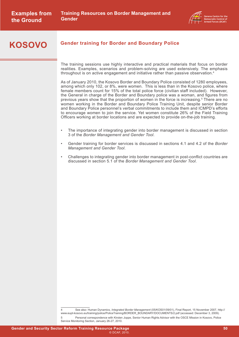

#### **KOSOVO**

#### **Gender training for Border and Boundary Police**

The training sessions use highly interactive and practical materials that focus on border realities. Examples, scenarios and problem-solving are used extensively. The emphasis throughout is on active engagement and initiative rather than passive observation.<sup>4</sup>

As of January 2010, the Kosovo Border and Boundary Police consisted of 1280 employees, among which only 102, or 8%, were women. This is less than in the Kosovo police, where female members count for 15% of the total police force (civilian staff included). However, the General in charge of the Border and Boundary police was a woman, and figures from previous years show that the proportion of women in the force is increasing.5 There are no women working in the Border and Boundary Police Training Unit, despite senior Border and Boundary Police personnel's verbal commitments to include them and ICMPD's efforts to encourage women to join the service. Yet women constitute 26% of the Field Training Officers working at border locations and are expected to provide on-the-job training.

- The importance of integrating gender into border management is discussed in section 3 of the *[Border Management and Gender Tool](http://www.dcaf.ch/publications/kms/details.cfm?lng=en&id=47401&nav1=5)*.
- Gender training for border services is discussed in sections 4.1 and 4.2 of the *[Border](http://www.dcaf.ch/publications/kms/details.cfm?lng=en&id=47401&nav1=5)  [Management and Gender Tool](http://www.dcaf.ch/publications/kms/details.cfm?lng=en&id=47401&nav1=5)*.
- Challenges to integrating gender into border management in post-conflict countries are discussed in section 5.1 of the *[Border Management and Gender Tool](http://www.dcaf.ch/publications/kms/details.cfm?lng=en&id=47401&nav1=5)*.

<sup>4</sup> See also: Human Dynamics, *Integrated Border Management* (05/KOS01/09/01), Final Report, 15 November 2007, [http://](http://www.eupt-kosovo.eu/training/police/PoliceTraining/BORDER_BOUNDARY/DOCUMENTS/2.pdf) [www.eupt-kosovo.eu/training/police/PoliceTraining/BORDER\\_BOUNDARY/DOCUMENTS/2.pd](http://www.eupt-kosovo.eu/training/police/PoliceTraining/BORDER_BOUNDARY/DOCUMENTS/2.pdf)f (accessed: December 3, 2009). 5 Personal correspondence with Kirsten Joppe, Senior Human Rights Advisor with the OSCE Mission in Kosovo, Police

Service Monitoring Section, January 26-27, 2010.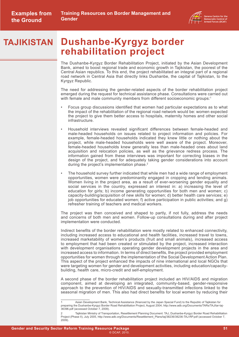

#### **Dushanbe-Kyrgyz border rehabilitation project TAJIKISTAN**

The Dushanbe-Kyrgyz Border Rehabilitation Project, initiated by the Asian Development Bank, aimed to boost regional trade and economic growth in Tajikistan, the poorest of the Central Asian republics. To this end, the project rehabilitated an integral part of a regional road network in Central Asia that directly links Dushanbe, the capital of Tajikistan, to the Kyrgyz Republic.

The need for addressing the gender-related aspects of the border rehabilitation project emerged during the request for technical assistance phase. Consultations were carried out with female and male community members from different socioeconomic groups:<sup>1</sup>

- Focus group discussions identified that women had particular expectations as to what the impact of the rehabilitation of the regional road network would be: women expected the project to give them better access to hospitals, maternity homes and other social infrastructure.
- Household interviews revealed significant differences between female-headed and male-headed households on issues related to project information and policies. For example, female-headed households indicated they knew little or nothing about the project, while male-headed households were well aware of the project. Moreover, female-headed households knew generally less than male-headed ones about land acquisition and relocation policies, as well as the grievance redress process. The information gained from these interviews was important for correcting biases in the design of the project, and for adequately taking gender considerations into account during the project's implementation phase.<sup>2</sup>
- The household survey further indicated that while men had a wide range of employment opportunities, women were predominantly engaged in cropping and tending animals. Women living in the project area, as a result of ever-worsening gender equality and social services in the country, expressed an interest in: a) increasing the level of education for girls; b) income generating opportunities for both men and women; c) capacity-building/acquisition of new skills for women; d) better health care services; e) job opportunities for educated women; f) active participation in public activities; and g) refresher training of teachers and medical workers.

The project was then conceived and shaped to partly, if not fully, address the needs and concerns of both men and women. Follow-up consultations during and after project implementation were conducted.

Indirect benefits of the border rehabilitation were mostly related to enhanced connectivity, including increased access to educational and health facilities, increased travel to towns, increased marketability of women's products (fruit and small animals), increased access to employment that had been created or stimulated by the project, increased interaction with development organisations operating gender development projects in the area and increased access to information. In terms of direct benefits, the project provided employment opportunities for women through the implementation of the Social Development Action Plan. This aspect of the project enhanced the impacts of nine international and local NGOs that were targeting women for gender and development activities, including education/capacitybuilding, health care, micro-credit and self-employment.

A second phase of the border rehabilitation project included an HIV/AIDS and migration component, aimed at developing an integrated, community-based, gender-responsive approach to the prevention of HIV/AIDS and sexually-transmitted infections linked to the seasonal migration of men. This also had direct benefits for local women by reducing their

Asian Development Bank, Technical Assistance (financed by the Japan Special Fund) to the Republic of Tajikistan for preparing the Dushanbe-Kyrgyz Border Road Rehabilitation Project, August 2004, [http://www.adb.org/Documents/TARs/TAJ/tar-taj-](http://www.adb.org/Documents/TARs/TAJ/tar-taj-36396.pdf)[36396.pdf](http://www.adb.org/Documents/TARs/TAJ/tar-taj-36396.pdf) (accessed October 7, 2009).

<sup>2</sup> Tajikistan Ministr[y](http://www.adb.org/Documents/Resettlement_Plans/taj/38236/38236-TAJ-RP.pdf ) of Transportation, Resettlement Planning Document: TAJ, Dushanbe-Kyrgyz Border Road Rehabilitation Project (Phase II), July 2005, [http://www.adb.org/Documents/Resettlement\\_Plans/taj/38236/38236-TAJ-RP.pdf](http://www.adb.org/Documents/Resettlement_Plans/taj/38236/38236-TAJ-RP.pdf) (accessed October 7, 2009).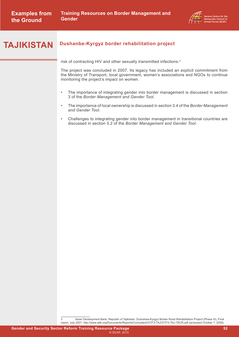

#### **Dushanbe-Kyrgyz border rehabilitation project TAJIKISTAN**

risk of contracting HIV and other sexually transmitted infections. $3$ 

The project was concluded in 2007. Its legacy has included an explicit commitment from the Ministry of Transport, local government, women's associations and NGOs to continue monitoring the project's impact on women.

- The importance of integrating gender into border management is discussed in section 3 of the *[Border Management and Gender Tool](http://www.dcaf.ch/publications/kms/details.cfm?lng=en&id=47401&nav1=5)*.
- The importance of local ownership is discussed in section 3.4 of the *[Border Management](http://www.dcaf.ch/publications/kms/details.cfm?lng=en&id=47401&nav1=5)  [and Gender Tool](http://www.dcaf.ch/publications/kms/details.cfm?lng=en&id=47401&nav1=5)*.
- Challenges to integrating gender into border management in transitional countries are discussed in section 5.2 of the *[Border Management and Gender Tool](http://www.dcaf.ch/publications/kms/details.cfm?lng=en&id=47401&nav1=5)*.

3 Asian Development Bank, Republic of Tajikistan: Dushanbe-Kyrgyz Border Road Rehabilitation Project (Phase III), Final report, July 2007, <http://www.adb.org/Documents/Reports/Consultant/37373-TAJ/37373-TAJ-TACR.pdf>(accessed October 7, 2009).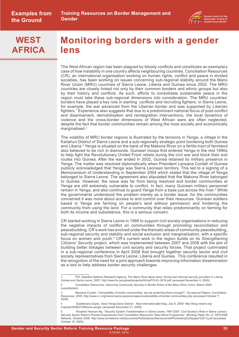

## **WEST AFRICA**

### **Monitoring borders with a gender lens**

The West African region has been plagued by bloody conflicts and constitutes an exemplary case of how instability in one country affects neighbouring countries. Conciliation Resources (CR), an international organisation working on human rights, conflict and peace in divided societies, has been working on issues concerning sub-regional stability around the Mano River Union (MRU) countries of Sierra Leone, Liberia and Guinea since 2002. The MRU countries are closely linked not only by their common borders and ethnic groups but also by their history and conflicts. As such, efforts to consolidate sustainable peace in the region must take these sub-regional dimensions into consideration. The MRU countries' borders have played a key role in starting conflicts and recruiting fighters: in Sierra Leone, for example, the war advanced from the Liberian border and was supported by Liberian fighters.<sup>1</sup> Experience also suggests that due to a predominant national focus of post-conflict and disarmament, demobilisation and reintegration interventions, the local dynamics of violence and the cross-border dimensions of West African wars are often neglected, despite the fact that border communities remain among the most socially and economically marginalised.<sup>2</sup>

The volatility of MRU border regions is illustrated by the tensions in Yenga, a village in the Kailahun District of Sierra Leone and a sub-regionally strategic point bordering both Guinea and Liberia.<sup>3</sup> Yenga is situated on the bank of the Makona River on a fertile tract of farmland also believed to be rich in diamonds. Guinean troops first entered Yenga in the mid 1990s to help fight the Revolutionary United Front rebels during the civil war and block their exit routes into Guinea. After the war ended in 2002, Guinea retained its military presence in Yenga. The matter was resolved diplomatically when President Lansana Conteh of Guinea publicly acknowledged that Yenga was Sierra Leonean territory. This led to a signing of a Memorandum of Understanding in September 2004 which stated that the village of Yenga belonged to Sierra Leone. The agreement also stipulated that the Makona River belonged to Guinea. However, the issue was far from being resolved and border communities at Yenga are still extremely vulnerable to conflict. In fact, many Guinean military personnel remain in Yenga, and also continue to guard Yenga from a base just across the river.<sup>4</sup> While the governments understood the problem merely as a border issue, for the communities concerned it was more about access to and control over their resources. Guinean soldiers based in Yenga are farming on people's land without permission and hindering the community from using the land. For a community that relies predominantly on farming for both its income and subsistence, this is a serious concern.

CR started working in Sierra Leone in 1995 to support civil society organisations in reducing the negative impacts of conflict on communities through promoting reconciliation and peacebuilding. CR's work has evolved under the thematic areas of community peacebuilding, sub-regional security and stability and social exclusion and marginalization, with a specific focus on women and youth.5 CR's current work in the region builds on its *Strengthening Citizens' Security* project, which was implemented between 2007 and 2008 with the aim of building better linkages between civil society and security forces. That project culminated in a sub-regional conference in April 2008 that brought together security sector and civil society representatives from Sierra Leone, Liberia and Guinea. This conference resulted in the recognition of the need for a joint approach towards improving information dissemination as a tool to help address border security challenges.

<sup>1</sup> FOI, Swedish Defence Research Agency, *The Mano River Basin Area: formal and informal security providers in Liberia, Guinea and Sierra Leone,* 2007, [http://www.foi.se/upload/projects/Africa/FOI-R--2418.pdf](http://www.foi.se/upload/projects/Africa/FOI-R--2418.pdf ) (accessed November 4, 2009).

<sup>2</sup> Conciliation Resources, *Improving Community Security in Border Areas of the Mano River Union*, March 2009 (unpublished).

<sup>3</sup> Mariama Conteh, "Vulnerability of border communities: are we protecting them enough?", *Occasional Papers*, Conciliation Resources, 2005,<http://www.c-r.org/resources/occasional-papers/vulnerability-of-border-communities.php>(accessed October 7, 2009).

<sup>4</sup> Sulakshana Gupta, 'Save Yenga Save Salone', New Internationalist blog, July 8, 2009: [http://blog.newint.org/](http://blog.newint.org/majority/2009/07/08/save-yenga/ ) [majority/2009/07/08/save-yenga/](http://blog.newint.org/majority/2009/07/08/save-yenga/ ) (accessed December 21, 2009).

<sup>5</sup> Rosalind Hanson-Alp, "Security System Transformation in Sierra Leone, 1997-2007. Civil Society's Role in Sierra Leone's Security Sector Reform Process Experiences from Conciliation Resources' West Africa Programme", *Working Paper No.12*, GFN-SSR Network, October 2008. [http://www.ssrnetwork.net/documents/Publications/SierraLeoneWPs/working%20paper%2012.pd](http://www.ssrnetwork.net/documents/Publications/SierraLeoneWPs/working%20paper%2012.pdf)f (accessed October 15, 2009).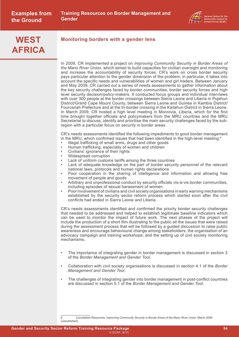

## **WEST AFRICA**

**Examples from** 

**the Ground**

#### **Monitoring borders with a gender lens**

In 2009, CR implemented a project on *Improving Community Security in Border Areas of the Mano River Union*, which aimed to build capacities for civilian oversight and monitoring and increase the accountability of security forces. CR's work on cross border security pays particular attention to the gender dimension of the problem; in particular, it takes into account the specific needs and vulnerabilities of women and girl traders. Between January and May 2009, CR carried out a series of needs assessments to gather information about the key security challenges faced by border communities, border security forces and high level security decision/policy-makers. It conducted focus groups and individual interviews with over 300 people at the border crossings between Sierra Leone and Liberia in Pujehun District/Grand Cape Mount County, between Sierra Leone and Guinea in Kambia District/ Fourcariah Prefecture and at the tri-border crossing in the Kailahun District in Sierra Leone. In March 2009, CR hosted a high level meeting in Monrovia, Liberia, which for the first time brought together officials and policymakers from the MRU countries and the MRU Secretariat to discuss, identify and prioritise the main security challenges faced by the subregion with a particular focus on security in border areas.

CR's needs assessments identified the following impediments to good border management in the MRU, which confirmed issues that had been identified in the high-level meeting: $^6$ 

- Illegal trafficking of small arms, drugs and other goods
- Human trafficking, especially of women and children
- Civilians' ignorance of their rights
- Widespread corruption
- Lack of uniform customs tariffs among the three countries
- Lack of adequate knowledge on the part of border security personnel of the relevant national laws, protocols and human rights declarations
- Poor cooperation in the sharing of intelligence and information and allowing free movement of people and goods
- Arbitrary and unprofessional conduct by security officials vis-à-vis border communities, including episodes of sexual harassment of women
- Poor involvement of civilians and civil society organisations in early warning mechanisms established by the security sector reform process which started soon after the civil conflicts had ended in Sierra Leone and Liberia

CR's needs assessments identified and confirmed the priority border security challenges that needed to be addressed and helped to establish legitimate baseline indicators which can be used to monitor the impact of future work. The next phases of the project will include the production of a short film illustrating to the public all the issues that were raised during the assessment process that will be followed by a guided discussion to raise public awareness and encourage behavioural change among stakeholders; the organisation of an advocacy campaign and training workshops; and the setting up of civil society monitoring mechanisms.

- The importance of integrating gender in border management is discussed in section 3 of the *[Border Management and Gender Tool](http://www.dcaf.ch/publications/kms/details.cfm?lng=en&id=47401&nav1=5)*.
- Collaboration with civil society organisations is discussed in section 4.1 of the *[Border](http://www.dcaf.ch/publications/kms/details.cfm?lng=en&id=47401&nav1=5)  [Management and Gender Tool](http://www.dcaf.ch/publications/kms/details.cfm?lng=en&id=47401&nav1=5)*.
- The challenges of integrating gender into border management in post-conflict countries are discussed in section 5.1 of the *[Border Management and Gender Tool](http://www.dcaf.ch/publications/kms/details.cfm?lng=en&id=47401&nav1=5)*.

<sup>6</sup> Conciliation Resources, *Improving Community Security in Border Areas of the Mano River Union*, March 2009 (unpublished).